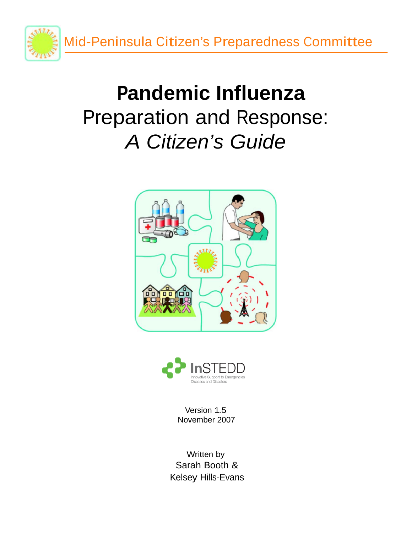

# **Pandemic Influenza** Preparation and Response: *A Citizen's Guide*





Version 1.5 November 2007

Written by Sarah Booth & Kelsey Hills-Evans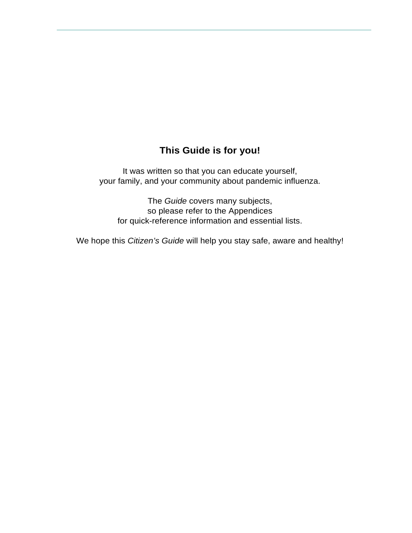## **This Guide is for you!**

It was written so that you can educate yourself, your family, and your community about pandemic influenza.

The *Guide* covers many subjects, so please refer to the Appendices for quick-reference information and essential lists.

We hope this *Citizen's Guide* will help you stay safe, aware and healthy!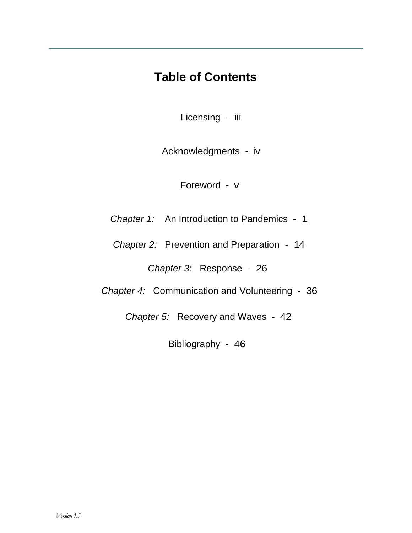## **Table of Contents**

Licensing - iii

Acknowledgments - iv

Foreword - v

*Chapter 1:* An Introduction to Pandemics - 1

*Chapter 2:* Prevention and Preparation - 14

*Chapter 3:* Response - 26

*Chapter 4:* Communication and Volunteering - 36

*Chapter 5:* Recovery and Waves - 42

Bibliography - 46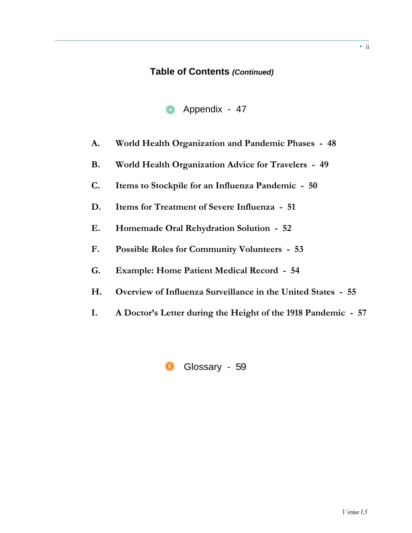## **Table of Contents** *(Continued)*

**A** Appendix - 47

| A. | World Health Organization and Pandemic Phases - 48 |  |
|----|----------------------------------------------------|--|
|----|----------------------------------------------------|--|

- **B. World Health Organization Advice for Travelers 49**
- **C. Items to Stockpile for an Influenza Pandemic 50**
- **D. Items for Treatment of Severe Influenza 51**
- **E. Homemade Oral Rehydration Solution 52**
- **F. Possible Roles for Community Volunteers 53**
- **G. Example: Home Patient Medical Record 54**
- **H. Overview of Influenza Surveillance in the United States 55**
- **I. A Doctor's Letter during the Height of the 1918 Pandemic 57**

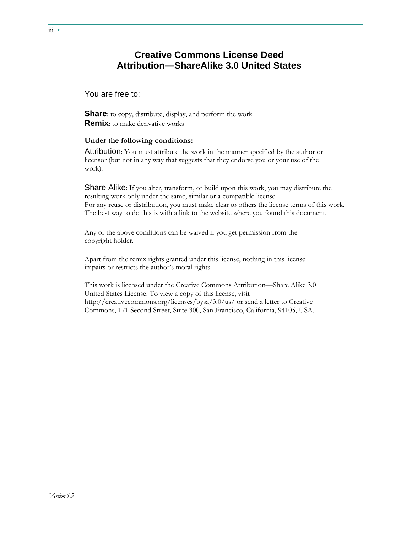## **Creative Commons License Deed Attribution—ShareAlike 3.0 United States**

You are free to:

**Share**: to copy, distribute, display, and perform the work **Remix**: to make derivative works

#### **Under the following conditions:**

Attribution: You must attribute the work in the manner specified by the author or licensor (but not in any way that suggests that they endorse you or your use of the work).

Share Alike: If you alter, transform, or build upon this work, you may distribute the resulting work only under the same, similar or a compatible license. For any reuse or distribution, you must make clear to others the license terms of this work. The best way to do this is with a link to the website where you found this document.

Any of the above conditions can be waived if you get permission from the copyright holder.

Apart from the remix rights granted under this license, nothing in this license impairs or restricts the author's moral rights.

This work is licensed under the Creative Commons Attribution—Share Alike 3.0 United States License. To view a copy of this license, visit http://creativecommons.org/licenses/bysa/3.0/us/ or send a letter to Creative Commons, 171 Second Street, Suite 300, San Francisco, California, 94105, USA.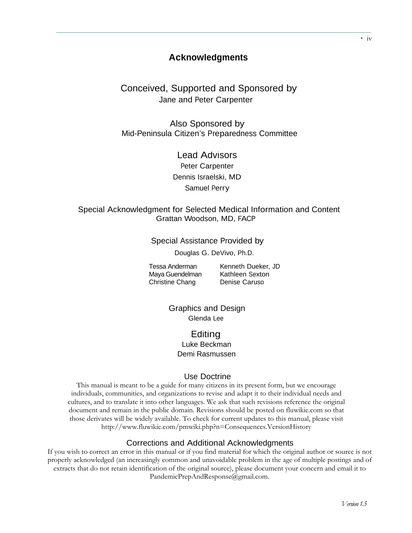#### **Acknowledgments**

Conceived, Supported and Sponsored by Jane and Peter Carpenter

Also Sponsored by Mid-Peninsula Citizen's Preparedness Committee

> Lead Advisors Peter Carpenter Dennis Israelski, MD Samuel Perry

#### Special Acknowledgment for Selected Medical Information and Content Grattan Woodson, MD, FACP

#### Special Assistance Provided by

Douglas G. DeVivo, Ph.D.

Tessa Anderman Maya Guendelman Christine Chang

Kenneth Dueker, JD Kathleen Sexton Denise Caruso

Graphics and Design Glenda Lee

> **Editing** Luke Beckman Demi Rasmussen

#### Use Doctrine

This manual is meant to be a guide for many citizens in its present form, but we encourage individuals, communities, and organizations to revise and adapt it to their individual needs and cultures, and to translate it into other languages. We ask that such revisions reference the original document and remain in the public domain. Revisions should be posted on fluwikie.com so that those derivates will be widely available. To check for current updates to this manual, please visit http://www.fluwikie.com/pmwiki.php?n=Consequences.VersionHistory

#### Corrections and Additional Acknowledgments

If you wish to correct an error in this manual or if you find material for which the original author or source is not properly acknowledged (an increasingly common and unavoidable problem in the age of multiple postings and of extracts that do not retain identification of the original source), please document your concern and email it to PandemicPrepAndResponse@gmail.com.

• iv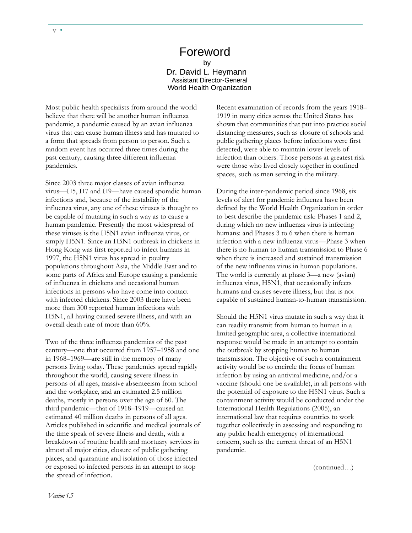#### Foreword by Dr. David L. Heymann Assistant Director-General World Health Organization

Most public health specialists from around the world believe that there will be another human influenza pandemic, a pandemic caused by an avian influenza virus that can cause human illness and has mutated to a form that spreads from person to person. Such a random event has occurred three times during the past century, causing three different influenza pandemics.

Since 2003 three major classes of avian influenza virus—H5, H7 and H9—have caused sporadic human infections and, because of the instability of the influenza virus, any one of these viruses is thought to be capable of mutating in such a way as to cause a human pandemic. Presently the most widespread of these viruses is the H5N1 avian influenza virus, or simply H5N1. Since an H5N1 outbreak in chickens in Hong Kong was first reported to infect humans in 1997, the H5N1 virus has spread in poultry populations throughout Asia, the Middle East and to some parts of Africa and Europe causing a pandemic of influenza in chickens and occasional human infections in persons who have come into contact with infected chickens. Since 2003 there have been more than 300 reported human infections with H5N1, all having caused severe illness, and with an overall death rate of more than 60%.

Two of the three influenza pandemics of the past century—one that occurred from 1957–1958 and one in 1968–1969—are still in the memory of many persons living today. These pandemics spread rapidly throughout the world, causing severe illness in persons of all ages, massive absenteeism from school and the workplace, and an estimated 2.5 million deaths, mostly in persons over the age of 60. The third pandemic—that of 1918–1919—caused an estimated 40 million deaths in persons of all ages. Articles published in scientific and medical journals of the time speak of severe illness and death, with a breakdown of routine health and mortuary services in almost all major cities, closure of public gathering places, and quarantine and isolation of those infected or exposed to infected persons in an attempt to stop the spread of infection.

Recent examination of records from the years 1918– 1919 in many cities across the United States has shown that communities that put into practice social distancing measures, such as closure of schools and public gathering places before infections were first detected, were able to maintain lower levels of infection than others. Those persons at greatest risk were those who lived closely together in confined spaces, such as men serving in the military.

During the inter-pandemic period since 1968, six levels of alert for pandemic influenza have been defined by the World Health Organization in order to best describe the pandemic risk: Phases 1 and 2, during which no new influenza virus is infecting humans: and Phases 3 to 6 when there is human infection with a new influenza virus—Phase 3 when there is no human to human transmission to Phase 6 when there is increased and sustained transmission of the new influenza virus in human populations. The world is currently at phase 3—a new (avian) influenza virus, H5N1, that occasionally infects humans and causes severe illness, but that is not capable of sustained human-to-human transmission.

Should the H5N1 virus mutate in such a way that it can readily transmit from human to human in a limited geographic area, a collective international response would be made in an attempt to contain the outbreak by stopping human to human transmission. The objective of such a containment activity would be to encircle the focus of human infection by using an antiviral medicine, and/or a vaccine (should one be available), in all persons with the potential of exposure to the H5N1 virus. Such a containment activity would be conducted under the International Health Regulations (2005), an international law that requires countries to work together collectively in assessing and responding to any public health emergency of international concern, such as the current threat of an H5N1 pandemic.

(continued…)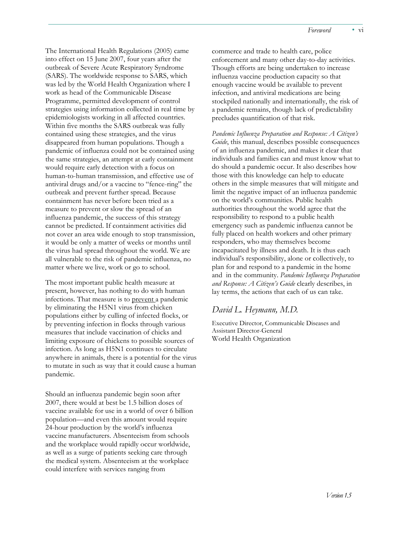The International Health Regulations (2005) came into effect on 15 June 2007, four years after the outbreak of Severe Acute Respiratory Syndrome (SARS). The worldwide response to SARS, which was led by the World Health Organization where I work as head of the Communicable Disease Programme, permitted development of control strategies using information collected in real time by epidemiologists working in all affected countries. Within five months the SARS outbreak was fully contained using these strategies, and the virus disappeared from human populations. Though a pandemic of influenza could not be contained using the same strategies, an attempt at early containment would require early detection with a focus on human-to-human transmission, and effective use of antiviral drugs and/or a vaccine to "fence-ring" the outbreak and prevent further spread. Because containment has never before been tried as a measure to prevent or slow the spread of an influenza pandemic, the success of this strategy cannot be predicted. If containment activities did not cover an area wide enough to stop transmission, it would be only a matter of weeks or months until the virus had spread throughout the world. We are all vulnerable to the risk of pandemic influenza, no matter where we live, work or go to school.

The most important public health measure at present, however, has nothing to do with human infections. That measure is to prevent a pandemic by eliminating the H5N1 virus from chicken populations either by culling of infected flocks, or by preventing infection in flocks through various measures that include vaccination of chicks and limiting exposure of chickens to possible sources of infection. As long as H5N1 continues to circulate anywhere in animals, there is a potential for the virus to mutate in such as way that it could cause a human pandemic.

Should an influenza pandemic begin soon after 2007, there would at best be 1.5 billion doses of vaccine available for use in a world of over 6 billion population—and even this amount would require 24-hour production by the world's influenza vaccine manufacturers. Absenteeism from schools and the workplace would rapidly occur worldwide, as well as a surge of patients seeking care through the medical system. Absenteeism at the workplace could interfere with services ranging from

commerce and trade to health care, police enforcement and many other day-to-day activities. Though efforts are being undertaken to increase influenza vaccine production capacity so that enough vaccine would be available to prevent infection, and antiviral medications are being stockpiled nationally and internationally, the risk of a pandemic remains, though lack of predictability precludes quantification of that risk.

*Pandemic Influenza Preparation and Response: A Citizen's Guide*, this manual, describes possible consequences of an influenza pandemic, and makes it clear that individuals and families can and must know what to do should a pandemic occur. It also describes how those with this knowledge can help to educate others in the simple measures that will mitigate and limit the negative impact of an influenza pandemic on the world's communities. Public health authorities throughout the world agree that the responsibility to respond to a public health emergency such as pandemic influenza cannot be fully placed on health workers and other primary responders, who may themselves become incapacitated by illness and death. It is thus each individual's responsibility, alone or collectively, to plan for and respond to a pandemic in the home and in the community. *Pandemic Influenza Preparation and Response: A Citizen's Guide* clearly describes, in lay terms, the actions that each of us can take.

#### *David L. Heymann, M.D.*

Executive Director, Communicable Diseases and Assistant Director-General World Health Organization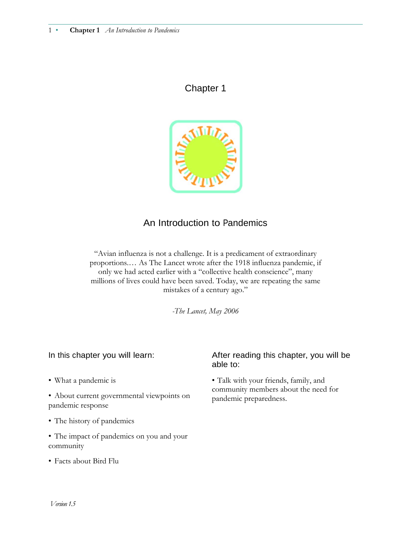## Chapter 1



## An Introduction to Pandemics

"Avian influenza is not a challenge. It is a predicament of extraordinary proportions.… As The Lancet wrote after the 1918 influenza pandemic, if only we had acted earlier with a "collective health conscience", many millions of lives could have been saved. Today, we are repeating the same mistakes of a century ago."

*-The Lancet, May 2006*

#### In this chapter you will learn:

• What a pandemic is

• About current governmental viewpoints on pandemic response

- The history of pandemics
- The impact of pandemics on you and your community
- Facts about Bird Flu

#### After reading this chapter, you will be able to:

• Talk with your friends, family, and community members about the need for pandemic preparedness.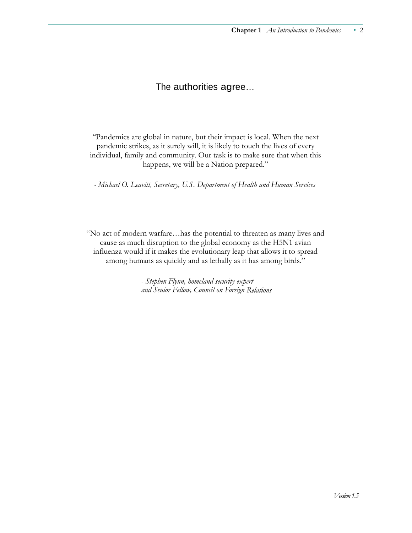## The authorities agree…

"Pandemics are global in nature, but their impact is local. When the next pandemic strikes, as it surely will, it is likely to touch the lives of every individual, family and community. Our task is to make sure that when this happens, we will be a Nation prepared."

*- Michael O. Leavitt, Secretary, U.S. Department of Health and Human Services*

"No act of modern warfare…has the potential to threaten as many lives and cause as much disruption to the global economy as the H5N1 avian influenza would if it makes the evolutionary leap that allows it to spread among humans as quickly and as lethally as it has among birds."

> *- Stephen Flynn, homeland security expert and Senior Fellow, Council on Foreign Relations*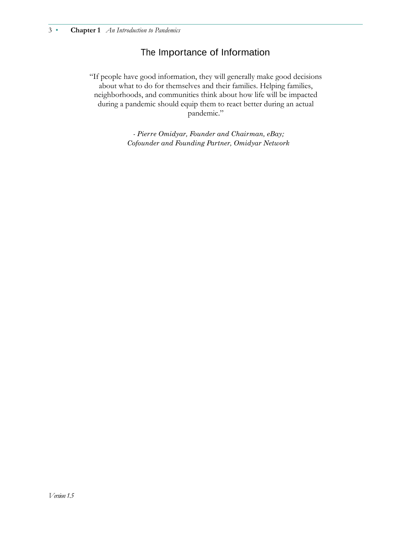## The Importance of Information

"If people have good information, they will generally make good decisions about what to do for themselves and their families. Helping families, neighborhoods, and communities think about how life will be impacted during a pandemic should equip them to react better during an actual pandemic."

> *- Pierre Omidyar, Founder and Chairman, eBay; Cofounder and Founding Partner, Omidyar Network*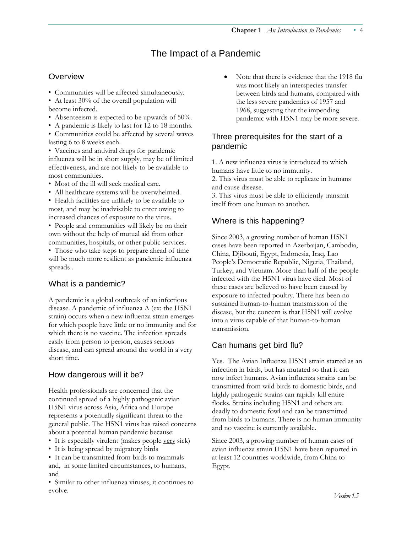## The Impact of a Pandemic

#### **Overview**

- Communities will be affected simultaneously.
- At least 30% of the overall population will become infected.
- Absenteeism is expected to be upwards of 50%.
- A pandemic is likely to last for 12 to 18 months.
- Communities could be affected by several waves lasting 6 to 8 weeks each.
- Vaccines and antiviral drugs for pandemic influenza will be in short supply, may be of limited effectiveness, and are not likely to be available to most communities.
- Most of the ill will seek medical care.
- All healthcare systems will be overwhelmed.
- Health facilities are unlikely to be available to most, and may be inadvisable to enter owing to increased chances of exposure to the virus.
- People and communities will likely be on their own without the help of mutual aid from other communities, hospitals, or other public services.
- Those who take steps to prepare ahead of time will be much more resilient as pandemic influenza spreads .

#### What is a pandemic?

A pandemic is a global outbreak of an infectious disease. A pandemic of influenza A (ex: the H5N1 strain) occurs when a new influenza strain emerges for which people have little or no immunity and for which there is no vaccine. The infection spreads easily from person to person, causes serious disease, and can spread around the world in a very short time.

#### How dangerous will it be?

Health professionals are concerned that the continued spread of a highly pathogenic avian H5N1 virus across Asia, Africa and Europe represents a potentially significant threat to the general public. The H5N1 virus has raised concerns about a potential human pandemic because:

- It is especially virulent (makes people very sick)
- It is being spread by migratory birds
- It can be transmitted from birds to mammals and, in some limited circumstances, to humans, and
- Similar to other influenza viruses, it continues to evolve.

• Note that there is evidence that the 1918 flu was most likely an interspecies transfer between birds and humans, compared with the less severe pandemics of 1957 and 1968, suggesting that the impending pandemic with H5N1 may be more severe.

#### Three prerequisites for the start of a pandemic

1. A new influenza virus is introduced to which humans have little to no immunity.

2. This virus must be able to replicate in humans and cause disease.

3. This virus must be able to efficiently transmit itself from one human to another.

#### Where is this happening?

Since 2003, a growing number of human H5N1 cases have been reported in Azerbaijan, Cambodia, China, Djibouti, Egypt, Indonesia, Iraq, Lao People's Democratic Republic, Nigeria, Thailand, Turkey, and Vietnam. More than half of the people infected with the H5N1 virus have died. Most of these cases are believed to have been caused by exposure to infected poultry. There has been no sustained human-to-human transmission of the disease, but the concern is that H5N1 will evolve into a virus capable of that human-to-human transmission.

#### Can humans get bird flu?

Yes. The Avian Influenza H5N1 strain started as an infection in birds, but has mutated so that it can now infect humans. Avian influenza strains can be transmitted from wild birds to domestic birds, and highly pathogenic strains can rapidly kill entire flocks. Strains including H5N1 and others are deadly to domestic fowl and can be transmitted from birds to humans. There is no human immunity and no vaccine is currently available.

Since 2003, a growing number of human cases of avian influenza strain H5N1 have been reported in at least 12 countries worldwide, from China to Egypt.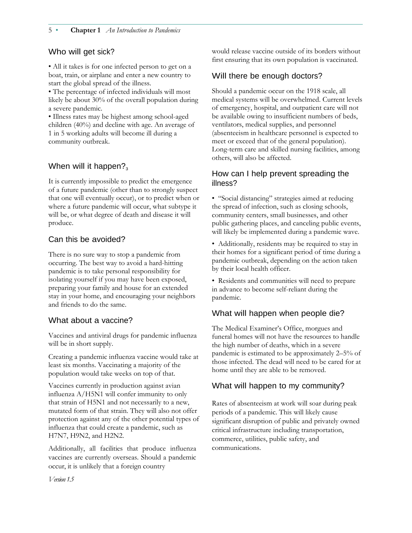### Who will get sick?

• All it takes is for one infected person to get on a boat, train, or airplane and enter a new country to start the global spread of the illness.

• The percentage of infected individuals will most likely be about 30% of the overall population during a severe pandemic.

• Illness rates may be highest among school-aged children (40%) and decline with age. An average of 1 in 5 working adults will become ill during a community outbreak.

### When will it happen? $_3$

It is currently impossible to predict the emergence of a future pandemic (other than to strongly suspect that one will eventually occur), or to predict when or where a future pandemic will occur, what subtype it will be, or what degree of death and disease it will produce.

#### Can this be avoided?

There is no sure way to stop a pandemic from occurring. The best way to avoid a hard-hitting pandemic is to take personal responsibility for isolating yourself if you may have been exposed, preparing your family and house for an extended stay in your home, and encouraging your neighbors and friends to do the same.

#### What about a vaccine?

Vaccines and antiviral drugs for pandemic influenza will be in short supply.

Creating a pandemic influenza vaccine would take at least six months. Vaccinating a majority of the population would take weeks on top of that.

Vaccines currently in production against avian influenza A/H5N1 will confer immunity to only that strain of H5N1 and not necessarily to a new, mutated form of that strain. They will also not offer protection against any of the other potential types of influenza that could create a pandemic, such as H7N7, H9N2, and H2N2.

Additionally, all facilities that produce influenza vaccines are currently overseas. Should a pandemic occur, it is unlikely that a foreign country

would release vaccine outside of its borders without first ensuring that its own population is vaccinated.

#### Will there be enough doctors?

Should a pandemic occur on the 1918 scale, all medical systems will be overwhelmed. Current levels of emergency, hospital, and outpatient care will not be available owing to insufficient numbers of beds, ventilators, medical supplies, and personnel (absenteeism in healthcare personnel is expected to meet or exceed that of the general population). Long-term care and skilled nursing facilities, among others, will also be affected.

#### How can I help prevent spreading the illness?

• "Social distancing" strategies aimed at reducing the spread of infection, such as closing schools, community centers, small businesses, and other public gathering places, and canceling public events, will likely be implemented during a pandemic wave.

• Additionally, residents may be required to stay in their homes for a significant period of time during a pandemic outbreak, depending on the action taken by their local health officer.

• Residents and communities will need to prepare in advance to become self-reliant during the pandemic.

#### What will happen when people die?

The Medical Examiner's Office, morgues and funeral homes will not have the resources to handle the high number of deaths, which in a severe pandemic is estimated to be approximately 2–5% of those infected. The dead will need to be cared for at home until they are able to be removed.

#### What will happen to my community?

Rates of absenteeism at work will soar during peak periods of a pandemic. This will likely cause significant disruption of public and privately owned critical infrastructure including transportation, commerce, utilities, public safety, and communications.

*Version 1.5*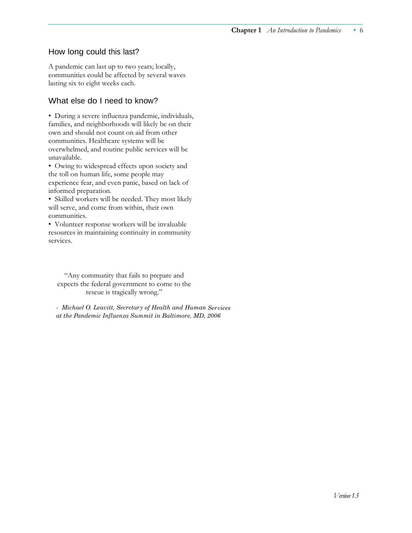#### How long could this last?

A pandemic can last up to two years; locally, communities could be affected by several waves lasting six to eight weeks each.

#### What else do I need to know?

• During a severe influenza pandemic, individuals, families, and neighborhoods will likely be on their own and should not count on aid from other communities. Healthcare systems will be overwhelmed, and routine public services will be unavailable.

• Owing to widespread effects upon society and the toll on human life, some people may experience fear, and even panic, based on lack of informed preparation.

• Skilled workers will be needed. They most likely will serve, and come from within, their own communities.

• Volunteer response workers will be invaluable resources in maintaining continuity in community services.

"Any community that fails to prepare and expects the federal government to come to the rescue is tragically wrong."

*- Michael O. Leavitt, Secretary of Health and Human Services at the Pandemic Influenza Summit in Baltimore, MD, 2006*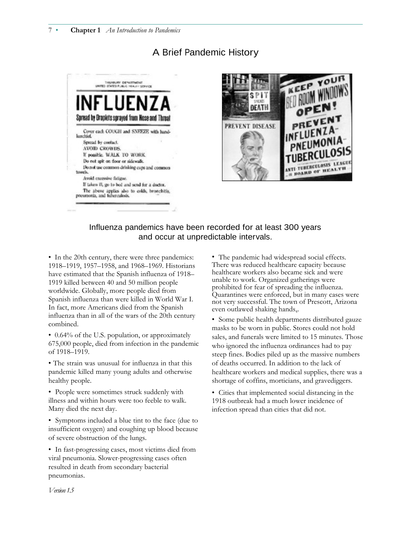## A Brief Pandemic History





#### Influenza pandemics have been recorded for at least 300 years and occur at unpredictable intervals.

• In the 20th century, there were three pandemics: 1918–1919, 1957–1958, and 1968–1969. Historians have estimated that the Spanish influenza of 1918– 1919 killed between 40 and 50 million people worldwide. Globally, more people died from Spanish influenza than were killed in World War I. In fact, more Americans died from the Spanish influenza than in all of the wars of the 20th century combined.

• 0.64% of the U.S. population, or approximately 675,000 people, died from infection in the pandemic of 1918–1919.

• The strain was unusual for influenza in that this pandemic killed many young adults and otherwise healthy people.

• People were sometimes struck suddenly with illness and within hours were too feeble to walk. Many died the next day.

• Symptoms included a blue tint to the face (due to insufficient oxygen) and coughing up blood because of severe obstruction of the lungs.

• In fast-progressing cases, most victims died from viral pneumonia. Slower-progressing cases often resulted in death from secondary bacterial pneumonias.

• The pandemic had widespread social effects. There was reduced healthcare capacity because healthcare workers also became sick and were unable to work. Organized gatherings were prohibited for fear of spreading the influenza. Quarantines were enforced, but in many cases were not very successful. The town of Prescott, Arizona even outlawed shaking hands.

• Some public health departments distributed gauze masks to be worn in public. Stores could not hold sales, and funerals were limited to 15 minutes. Those who ignored the influenza ordinances had to pay steep fines. Bodies piled up as the massive numbers of deaths occurred. In addition to the lack of healthcare workers and medical supplies, there was a shortage of coffins, morticians, and gravediggers.

• Cities that implemented social distancing in the 1918 outbreak had a much lower incidence of infection spread than cities that did not.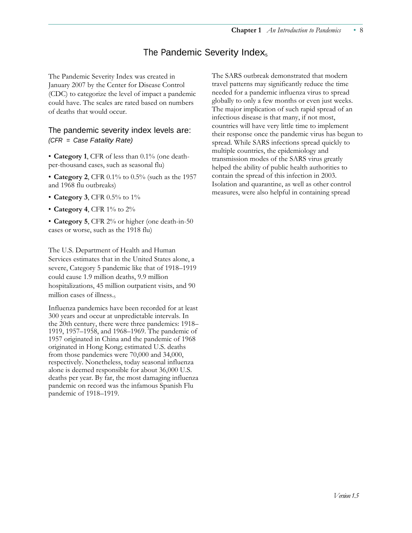## The Pandemic Severity Index<sub>5</sub>

The Pandemic Severity Index was created in January 2007 by the Center for Disease Control (CDC) to categorize the level of impact a pandemic could have. The scales are rated based on numbers of deaths that would occur.

#### The pandemic severity index levels are: *(CFR = Case Fatality Rate)*

• **Category 1**, CFR of less than 0.1% (one deathper-thousand cases, such as seasonal flu)

• **Category 2**, CFR 0.1% to 0.5% (such as the 1957 and 1968 flu outbreaks)

- **Category 3**, CFR 0.5% to 1%
- **Category 4**, CFR 1% to 2%
- **Category 5**, CFR 2% or higher (one death-in-50 cases or worse, such as the 1918 flu)

The U.S. Department of Health and Human Services estimates that in the United States alone, a severe, Category 5 pandemic like that of 1918–1919 could cause 1.9 million deaths, 9.9 million hospitalizations, 45 million outpatient visits, and 90 million cases of illness.

Influenza pandemics have been recorded for at least 300 years and occur at unpredictable intervals. In the 20th century, there were three pandemics: 1918– 1919, 1957–1958, and 1968–1969. The pandemic of 1957 originated in China and the pandemic of 1968 originated in Hong Kong; estimated U.S. deaths from those pandemics were 70,000 and 34,000, respectively. Nonetheless, today seasonal influenza alone is deemed responsible for about 36,000 U.S. deaths per year. By far, the most damaging influenza pandemic on record was the infamous Spanish Flu pandemic of 1918–1919.

The SARS outbreak demonstrated that modern travel patterns may significantly reduce the time needed for a pandemic influenza virus to spread globally to only a few months or even just weeks. The major implication of such rapid spread of an infectious disease is that many, if not most, countries will have very little time to implement their response once the pandemic virus has begun to spread. While SARS infections spread quickly to multiple countries, the epidemiology and transmission modes of the SARS virus greatly helped the ability of public health authorities to contain the spread of this infection in 2003. Isolation and quarantine, as well as other control measures, were also helpful in containing spread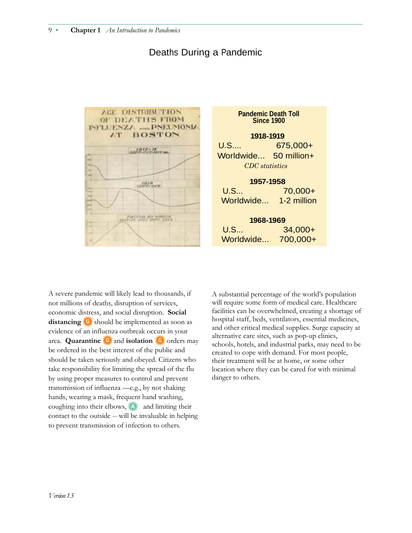## Deaths During a Pandemic



| <b>Pandemic Death Toll</b><br><b>Since 1900</b> |           |  |  |  |
|-------------------------------------------------|-----------|--|--|--|
| 1918-1919                                       |           |  |  |  |
| U.S                                             | 675,000+  |  |  |  |
| Worldwide 50 million+                           |           |  |  |  |
| CDC statistics                                  |           |  |  |  |
| 1957-1958                                       |           |  |  |  |
| U.S                                             | 70,000+   |  |  |  |
| Worldwide 1-2 million                           |           |  |  |  |
|                                                 |           |  |  |  |
| 1968-1969                                       |           |  |  |  |
| U.S                                             | $34,000+$ |  |  |  |
| Worldwide                                       | 700,000+  |  |  |  |

A severe pandemic will likely lead to thousands, if not millions of deaths, disruption of services, economic distress, and social disruption. **Social distancing G** should be implemented as soon as evidence of an influenza outbreak occurs in your area. **Quarantine G** and **isolation C** orders may be ordered in the best interest of the public and should be taken seriously and obeyed. Citizens who take responsibility for limiting the spread of the flu by using proper measures to control and prevent transmission of influenza —e.g., by not shaking hands, wearing a mask, frequent hand washing, coughing into their elbows, A and limiting their contact to the outside -- will be invaluable in helping to prevent transmission of infection to others.

A substantial percentage of the world's population will require some form of medical care. Healthcare facilities can be overwhelmed, creating a shortage of hospital staff, beds, ventilators, essential medicines, and other critical medical supplies. Surge capacity at alternative care sites, such as pop-up clinics, schools, hotels, and industrial parks, may need to be created to cope with demand. For most people, their treatment will be at home, or some other location where they can be cared for with minimal danger to others.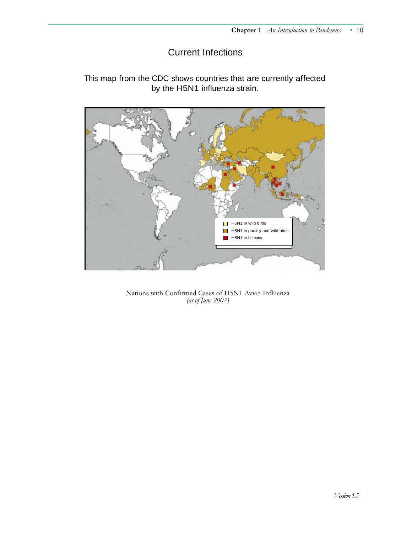## Current Infections



#### This map from the CDC shows countries that are currently affected by the H5N1 influenza strain.

Nations with Confirmed Cases of H5N1 Avian Influenza *(as of June 2007)*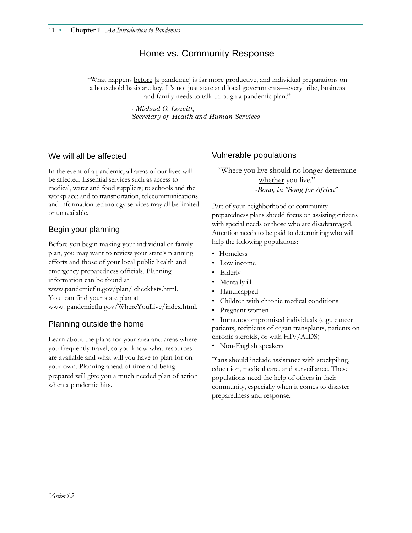## Home vs. Community Response

"What happens before [a pandemic] is far more productive, and individual preparations on a household basis are key. It's not just state and local governments—every tribe, business and family needs to talk through a pandemic plan."

> *- Michael O. Leavitt, Secretary of Health and Human Services*

#### We will all be affected

In the event of a pandemic, all areas of our lives will be affected. Essential services such as access to medical, water and food suppliers; to schools and the workplace; and to transportation, telecommunications and information technology services may all be limited or unavailable.

#### Begin your planning

Before you begin making your individual or family plan, you may want to review your state's planning efforts and those of your local public health and emergency preparedness officials. Planning information can be found at www.pandemicflu.gov/plan/ checklists.html. You can find your state plan at www. pandemicflu.gov/WhereYouLive/index.html.

#### Planning outside the home

Learn about the plans for your area and areas where you frequently travel, so you know what resources are available and what will you have to plan for on your own. Planning ahead of time and being prepared will give you a much needed plan of action when a pandemic hits.

### Vulnerable populations

"Where you live should no longer determine" whether you live." *-Bono, in "Song for Africa"*

Part of your neighborhood or community preparedness plans should focus on assisting citizens with special needs or those who are disadvantaged. Attention needs to be paid to determining who will help the following populations:

- Homeless
- Low income
- Elderly
- Mentally ill
- Handicapped
- Children with chronic medical conditions
- Pregnant women

• Immunocompromised individuals (e.g., cancer patients, recipients of organ transplants, patients on chronic steroids, or with HIV/AIDS)

• Non-English speakers

Plans should include assistance with stockpiling, education, medical care, and surveillance. These populations need the help of others in their community, especially when it comes to disaster preparedness and response.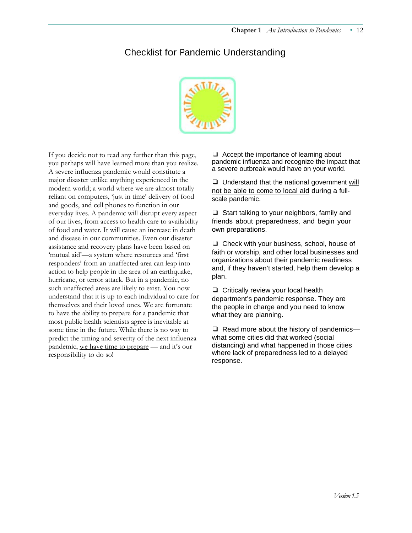## Checklist for Pandemic Understanding



If you decide not to read any further than this page, you perhaps will have learned more than you realize. A severe influenza pandemic would constitute a major disaster unlike anything experienced in the modern world; a world where we are almost totally reliant on computers, 'just in time' delivery of food and goods, and cell phones to function in our everyday lives. A pandemic will disrupt every aspect of our lives, from access to health care to availability of food and water. It will cause an increase in death and disease in our communities. Even our disaster assistance and recovery plans have been based on 'mutual aid'—a system where resources and 'first responders' from an unaffected area can leap into action to help people in the area of an earthquake, hurricane, or terror attack. But in a pandemic, no such unaffected areas are likely to exist. You now understand that it is up to each individual to care for themselves and their loved ones. We are fortunate to have the ability to prepare for a pandemic that most public health scientists agree is inevitable at some time in the future. While there is no way to predict the timing and severity of the next influenza pandemic, we have time to prepare — and it's our responsibility to do so!

❑ Accept the importance of learning about pandemic influenza and recognize the impact that a severe outbreak would have on your world.

❑ Understand that the national government will not be able to come to local aid during a fullscale pandemic.

❑ Start talking to your neighbors, family and friends about preparedness, and begin your own preparations.

❑ Check with your business, school, house of faith or worship, and other local businesses and organizations about their pandemic readiness and, if they haven't started, help them develop a plan.

❑ Critically review your local health department's pandemic response. They are the people in charge and you need to know what they are planning.

❑ Read more about the history of pandemics what some cities did that worked (social distancing) and what happened in those cities where lack of preparedness led to a delayed response.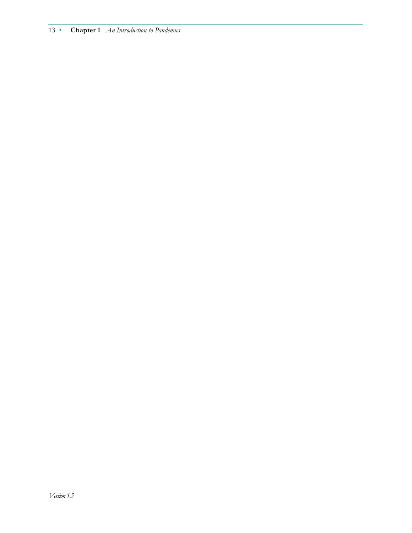#### 13 • **Chapter 1** *An Introduction to Pandemics*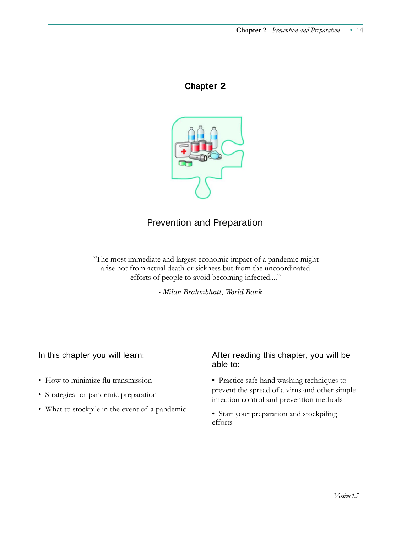## **Chapter 2**



## Prevention and Preparation

"The most immediate and largest economic impact of a pandemic might arise not from actual death or sickness but from the uncoordinated efforts of people to avoid becoming infected...."

*- Milan Brahmbhatt, World Bank*

#### In this chapter you will learn:

- How to minimize flu transmission
- Strategies for pandemic preparation
- What to stockpile in the event of a pandemic

#### After reading this chapter, you will be able to:

- Practice safe hand washing techniques to prevent the spread of a virus and other simple infection control and prevention methods
- Start your preparation and stockpiling efforts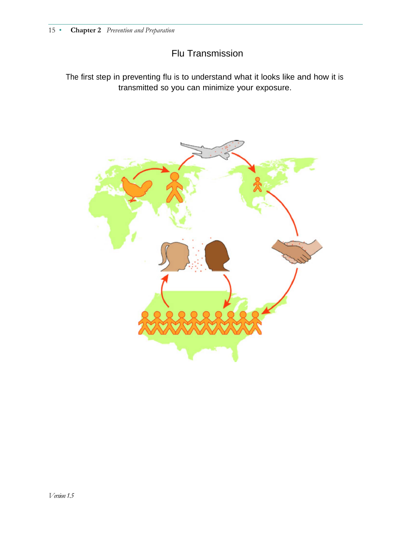## Flu Transmission

The first step in preventing flu is to understand what it looks like and how it is transmitted so you can minimize your exposure.

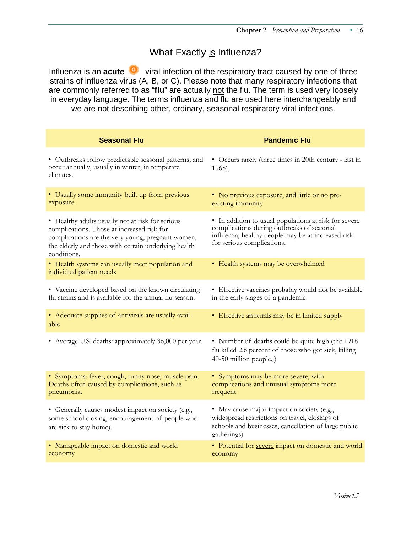## What Exactly is Influenza?

Influenza is an **acute C** viral infection of the respiratory tract caused by one of three strains of influenza virus (A, B, or C). Please note that many respiratory infections that are commonly referred to as "**flu**" are actually not the flu. The term is used very loosely in everyday language. The terms influenza and flu are used here interchangeably and we are not describing other, ordinary, seasonal respiratory viral infections.

| <b>Seasonal Flu</b>                                                                                                                                                                                                        | <b>Pandemic Flu</b>                                                                                                                                                                     |
|----------------------------------------------------------------------------------------------------------------------------------------------------------------------------------------------------------------------------|-----------------------------------------------------------------------------------------------------------------------------------------------------------------------------------------|
| • Outbreaks follow predictable seasonal patterns; and<br>occur annually, usually in winter, in temperate<br>climates.                                                                                                      | • Occurs rarely (three times in 20th century - last in<br>$1968$ <sub>7</sub>                                                                                                           |
| • Usually some immunity built up from previous<br>exposure                                                                                                                                                                 | • No previous exposure, and little or no pre-<br>existing immunity                                                                                                                      |
| • Healthy adults usually not at risk for serious<br>complications. Those at increased risk for<br>complications are the very young, pregnant women,<br>the elderly and those with certain underlying health<br>conditions. | • In addition to usual populations at risk for severe<br>complications during outbreaks of seasonal<br>influenza, healthy people may be at increased risk<br>for serious complications. |
| • Health systems can usually meet population and<br>individual patient needs                                                                                                                                               | • Health systems may be overwhelmed                                                                                                                                                     |
| • Vaccine developed based on the known circulating<br>flu strains and is available for the annual flu season.                                                                                                              | • Effective vaccines probably would not be available<br>in the early stages of a pandemic                                                                                               |
| • Adequate supplies of antivirals are usually avail-<br>able                                                                                                                                                               | • Effective antivirals may be in limited supply                                                                                                                                         |
| • Average U.S. deaths: approximately 36,000 per year.                                                                                                                                                                      | • Number of deaths could be quite high (the 1918<br>flu killed 2.6 percent of those who got sick, killing<br>40-50 million people. $_6$ )                                               |
| · Symptoms: fever, cough, runny nose, muscle pain.<br>Deaths often caused by complications, such as<br>pneumonia.                                                                                                          | • Symptoms may be more severe, with<br>complications and unusual symptoms more<br>frequent                                                                                              |
| • Generally causes modest impact on society (e.g.,<br>some school closing, encouragement of people who<br>are sick to stay home).                                                                                          | • May cause major impact on society (e.g.,<br>widespread restrictions on travel, closings of<br>schools and businesses, cancellation of large public<br>gatherings)                     |
| • Manageable impact on domestic and world<br>economy                                                                                                                                                                       | • Potential for severe impact on domestic and world<br>economy                                                                                                                          |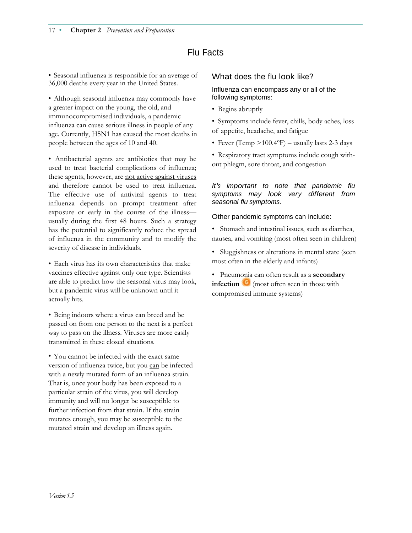## Flu Facts

• Seasonal influenza is responsible for an average of 36,000 deaths every year in the United States.

• Although seasonal influenza may commonly have a greater impact on the young, the old, and immunocompromised individuals, a pandemic influenza can cause serious illness in people of any age. Currently, H5N1 has caused the most deaths in people between the ages of 10 and 40.

• Antibacterial agents are antibiotics that may be used to treat bacterial complications of influenza; these agents, however, are not active against viruses and therefore cannot be used to treat influenza. The effective use of antiviral agents to treat influenza depends on prompt treatment after exposure or early in the course of the illness usually during the first 48 hours. Such a strategy has the potential to significantly reduce the spread of influenza in the community and to modify the severity of disease in individuals.

• Each virus has its own characteristics that make vaccines effective against only one type. Scientists are able to predict how the seasonal virus may look, but a pandemic virus will be unknown until it actually hits.

• Being indoors where a virus can breed and be passed on from one person to the next is a perfect way to pass on the illness. Viruses are more easily transmitted in these closed situations.

• You cannot be infected with the exact same version of influenza twice, but you can be infected with a newly mutated form of an influenza strain. That is, once your body has been exposed to a particular strain of the virus, you will develop immunity and will no longer be susceptible to further infection from that strain. If the strain mutates enough, you may be susceptible to the mutated strain and develop an illness again.

#### What does the flu look like?

#### Influenza can encompass any or all of the following symptoms:

• Begins abruptly

• Symptoms include fever, chills, body aches, loss of appetite, headache, and fatigue

• Fever (Temp >100.4°F) – usually lasts 2-3 days

• Respiratory tract symptoms include cough without phlegm, sore throat, and congestion

#### *It's important to note that pandemic flu symptoms may look very different from seasonal flu symptoms.*

#### Other pandemic symptoms can include:

• Stomach and intestinal issues, such as diarrhea, nausea, and vomiting (most often seen in children)

• Sluggishness or alterations in mental state (seen most often in the elderly and infants)

• Pneumonia can often result as a **secondary infection** (most often seen in those with compromised immune systems)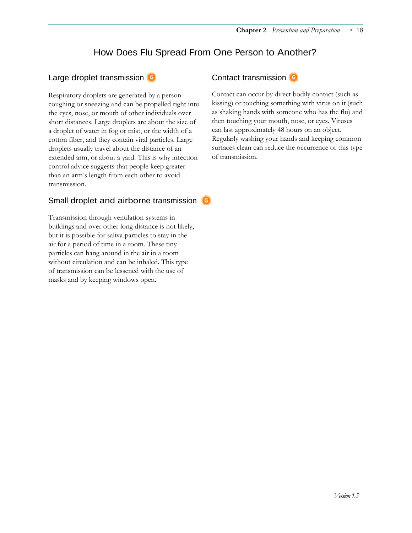## How Does Flu Spread From One Person to Another?

#### Large droplet transmission Contact transmission

Respiratory droplets are generated by a person coughing or sneezing and can be propelled right into the eyes, nose, or mouth of other individuals over short distances. Large droplets are about the size of a droplet of water in fog or mist, or the width of a cotton fiber, and they contain viral particles. Large droplets usually travel about the distance of an extended arm, or about a yard. This is why infection control advice suggests that people keep greater than an arm's length from each other to avoid transmission.

#### Small droplet and airborne transmission

Transmission through ventilation systems in buildings and over other long distance is not likely, but it is possible for saliva particles to stay in the air for a period of time in a room. These tiny particles can hang around in the air in a room without circulation and can be inhaled. This type of transmission can be lessened with the use of masks and by keeping windows open.

Contact can occur by direct bodily contact (such as kissing) or touching something with virus on it (such as shaking hands with someone who has the flu) and then touching your mouth, nose, or eyes. Viruses can last approximately 48 hours on an object. Regularly washing your hands and keeping common surfaces clean can reduce the occurrence of this type of transmission.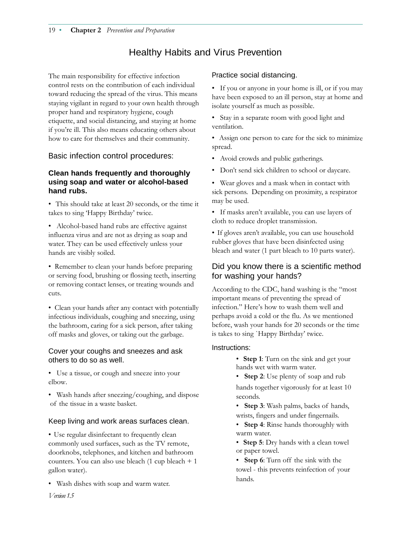## Healthy Habits and Virus Prevention

The main responsibility for effective infection control rests on the contribution of each individual toward reducing the spread of the virus. This means staying vigilant in regard to your own health through proper hand and respiratory hygiene, cough etiquette, and social distancing, and staying at home if you're ill. This also means educating others about how to care for themselves and their community.

#### Basic infection control procedures:

#### **Clean hands frequently and thoroughly using soap and water or alcohol-based hand rubs.**

• This should take at least 20 seconds, or the time it takes to sing 'Happy Birthday' twice.

• Alcohol-based hand rubs are effective against influenza virus and are not as drying as soap and water. They can be used effectively unless your hands are visibly soiled.

• Remember to clean your hands before preparing or serving food, brushing or flossing teeth, inserting or removing contact lenses, or treating wounds and cuts.

• Clean your hands after any contact with potentially infectious individuals, coughing and sneezing, using the bathroom, caring for a sick person, after taking off masks and gloves, or taking out the garbage.

#### Cover your coughs and sneezes and ask others to do so as well.

- Use a tissue, or cough and sneeze into your elbow.
- Wash hands after sneezing/coughing, and dispose of the tissue in a waste basket.

#### Keep living and work areas surfaces clean.

• Use regular disinfectant to frequently clean commonly used surfaces, such as the TV remote, doorknobs, telephones, and kitchen and bathroom counters. You can also use bleach (1 cup bleach + 1 gallon water).

• Wash dishes with soap and warm water.

#### Practice social distancing.

• If you or anyone in your home is ill, or if you may have been exposed to an ill person, stay at home and isolate yourself as much as possible.

• Stay in a separate room with good light and ventilation.

• Assign one person to care for the sick to minimize spread.

- Avoid crowds and public gatherings.
- Don't send sick children to school or daycare.

• Wear gloves and a mask when in contact with sick persons. Depending on proximity, a respirator may be used.

• If masks aren't available, you can use layers of cloth to reduce droplet transmission.

• If gloves aren't available, you can use household rubber gloves that have been disinfected using bleach and water (1 part bleach to 10 parts water).

#### Did you know there is a scientific method for washing your hands?

According to the CDC, hand washing is the "most important means of preventing the spread of infection." Here's how to wash them well and perhaps avoid a cold or the flu. As we mentioned before, wash your hands for 20 seconds or the time is takes to sing `Happy Birthday' twice.

#### Instructions:

• **Step 1**: Turn on the sink and get your hands wet with warm water.

• **Step 2**: Use plenty of soap and rub

hands together vigorously for at least 10 seconds.

- **Step 3**: Wash palms, backs of hands, wrists, fingers and under fingernails.
- **Step 4**: Rinse hands thoroughly with warm water.
- **Step 5**: Dry hands with a clean towel or paper towel.

• **Step 6**: Turn off the sink with the towel - this prevents reinfection of your hands.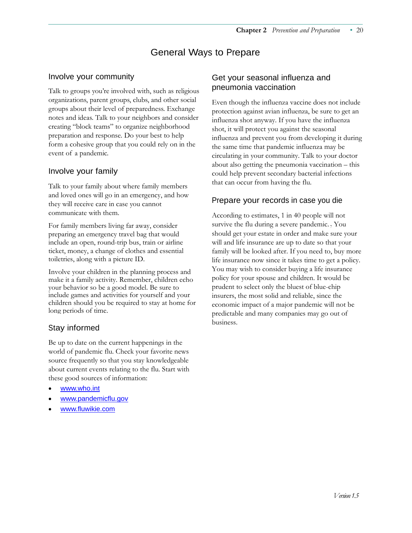## General Ways to Prepare

#### Involve your community

Talk to groups you're involved with, such as religious organizations, parent groups, clubs, and other social groups about their level of preparedness. Exchange notes and ideas. Talk to your neighbors and consider creating "block teams" to organize neighborhood preparation and response. Do your best to help form a cohesive group that you could rely on in the event of a pandemic.

#### Involve your family

Talk to your family about where family members and loved ones will go in an emergency, and how they will receive care in case you cannot communicate with them.

For family members living far away, consider preparing an emergency travel bag that would include an open, round-trip bus, train or airline ticket, money, a change of clothes and essential toiletries, along with a picture ID.

Involve your children in the planning process and make it a family activity. Remember, children echo your behavior so be a good model. Be sure to include games and activities for yourself and your children should you be required to stay at home for long periods of time.

#### Stay informed

Be up to date on the current happenings in the world of pandemic flu. Check your favorite news source frequently so that you stay knowledgeable about current events relating to the flu. Start with these good sources of information:

- www.who.int
- www.pandemicflu.gov
- www.fluwikie.com

#### Get your seasonal influenza and pneumonia vaccination

Even though the influenza vaccine does not include protection against avian influenza, be sure to get an influenza shot anyway. If you have the influenza shot, it will protect you against the seasonal influenza and prevent you from developing it during the same time that pandemic influenza may be circulating in your community. Talk to your doctor about also getting the pneumonia vaccination – this could help prevent secondary bacterial infections that can occur from having the flu.

#### Prepare your records in case you die

According to estimates, 1 in 40 people will not survive the flu during a severe pandemic.  $<sub>7</sub>$  You</sub> should get your estate in order and make sure your will and life insurance are up to date so that your family will be looked after. If you need to, buy more life insurance now since it takes time to get a policy. You may wish to consider buying a life insurance policy for your spouse and children. It would be prudent to select only the bluest of blue-chip insurers, the most solid and reliable, since the economic impact of a major pandemic will not be predictable and many companies may go out of business.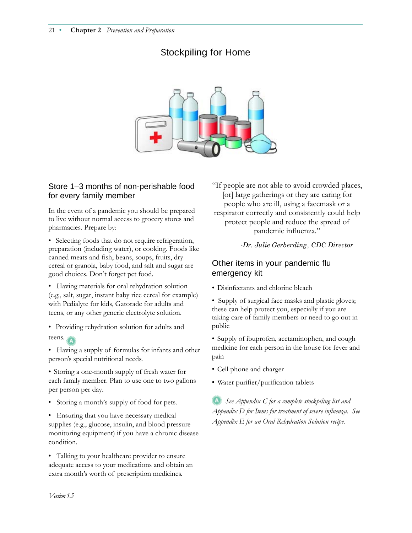## Stockpiling for Home



#### Store 1–3 months of non-perishable food for every family member

In the event of a pandemic you should be prepared to live without normal access to grocery stores and pharmacies. Prepare by:

• Selecting foods that do not require refrigeration, preparation (including water), or cooking. Foods like canned meats and fish, beans, soups, fruits, dry cereal or granola, baby food, and salt and sugar are good choices. Don't forget pet food.

• Having materials for oral rehydration solution (e.g., salt, sugar, instant baby rice cereal for example) with Pedialyte for kids, Gatorade for adults and teens, or any other generic electrolyte solution.

• Providing rehydration solution for adults and teens.

• Having a supply of formulas for infants and other person's special nutritional needs.

• Storing a one-month supply of fresh water for each family member. Plan to use one to two gallons per person per day.

• Storing a month's supply of food for pets.

• Ensuring that you have necessary medical supplies (e.g., glucose, insulin, and blood pressure monitoring equipment) if you have a chronic disease condition.

• Talking to your healthcare provider to ensure adequate access to your medications and obtain an extra month's worth of prescription medicines.

"If people are not able to avoid crowded places, [or] large gatherings or they are caring for people who are ill, using a facemask or a respirator correctly and consistently could help protect people and reduce the spread of pandemic influenza."

*-Dr. Julie Gerberding, CDC Director*

#### Other items in your pandemic flu emergency kit

• Disinfectants and chlorine bleach

• Supply of surgical face masks and plastic gloves; these can help protect you, especially if you are taking care of family members or need to go out in public

• Supply of ibuprofen, acetaminophen, and cough medicine for each person in the house for fever and pain

- Cell phone and charger
- Water purifier/purification tablets

*See Appendix C for a complete stockpiling list and Appendix D for Items for treatment of severe influenza. See Appendix E for an Oral Rehydration Solution recipe.*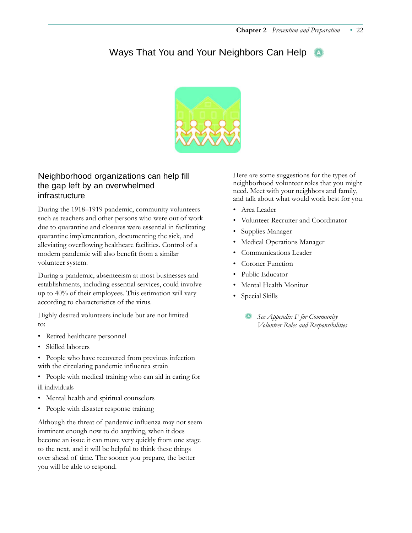## Ways That You and Your Neighbors Can Help



#### Neighborhood organizations can help fill the gap left by an overwhelmed infrastructure

During the 1918–1919 pandemic, community volunteers such as teachers and other persons who were out of work due to quarantine and closures were essential in facilitating quarantine implementation, documenting the sick, and alleviating overflowing healthcare facilities. Control of a modern pandemic will also benefit from a similar volunteer system.

During a pandemic, absenteeism at most businesses and establishments, including essential services, could involve up to 40% of their employees. This estimation will vary according to characteristics of the virus.

Highly desired volunteers include but are not limited to:

- Retired healthcare personnel
- Skilled laborers
- People who have recovered from previous infection with the circulating pandemic influenza strain
- People with medical training who can aid in caring for ill individuals
- Mental health and spiritual counselors
- People with disaster response training

Although the threat of pandemic influenza may not seem imminent enough now to do anything, when it does become an issue it can move very quickly from one stage to the next, and it will be helpful to think these things over ahead of time. The sooner you prepare, the better you will be able to respond.

Here are some suggestions for the types of neighborhood volunteer roles that you might need. Meet with your neighbors and family, and talk about what would work best for you.

- Area Leader
- Volunteer Recruiter and Coordinator
- Supplies Manager
- Medical Operations Manager
- Communications Leader
- Coroner Function
- Public Educator
- Mental Health Monitor
- Special Skills
	- *See Appendix F for Community Volunteer Roles and Responsibilities*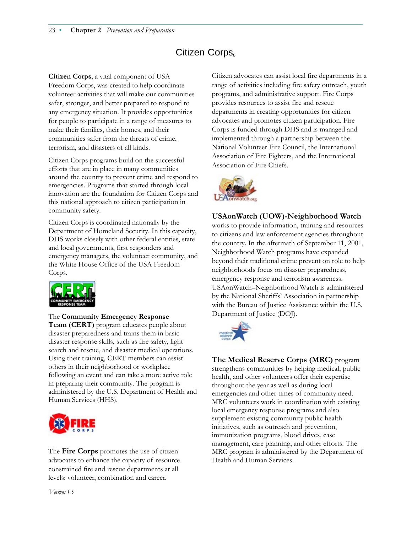## Citizen Corps<sub>8</sub>

**Citizen Corps**, a vital component of USA

Freedom Corps, was created to help coordinate volunteer activities that will make our communities safer, stronger, and better prepared to respond to any emergency situation. It provides opportunities for people to participate in a range of measures to make their families, their homes, and their communities safer from the threats of crime, terrorism, and disasters of all kinds.

Citizen Corps programs build on the successful efforts that are in place in many communities around the country to prevent crime and respond to emergencies. Programs that started through local innovation are the foundation for Citizen Corps and this national approach to citizen participation in community safety.

Citizen Corps is coordinated nationally by the Department of Homeland Security. In this capacity, DHS works closely with other federal entities, state and local governments, first responders and emergency managers, the volunteer community, and the White House Office of the USA Freedom Corps.



The **Community Emergency Response** 

**Team (CERT)** program educates people about disaster preparedness and trains them in basic disaster response skills, such as fire safety, light search and rescue, and disaster medical operations. Using their training, CERT members can assist others in their neighborhood or workplace following an event and can take a more active role in preparing their community. The program is administered by the U.S. Department of Health and Human Services (HHS).



The **Fire Corps** promotes the use of citizen advocates to enhance the capacity of resource constrained fire and rescue departments at all levels: volunteer, combination and career.

Citizen advocates can assist local fire departments in a range of activities including fire safety outreach, youth programs, and administrative support. Fire Corps provides resources to assist fire and rescue departments in creating opportunities for citizen advocates and promotes citizen participation. Fire Corps is funded through DHS and is managed and implemented through a partnership between the National Volunteer Fire Council, the International Association of Fire Fighters, and the International Association of Fire Chiefs.



**USAonWatch (UOW)-Neighborhood Watch** 

works to provide information, training and resources to citizens and law enforcement agencies throughout the country. In the aftermath of September 11, 2001, Neighborhood Watch programs have expanded beyond their traditional crime prevent on role to help neighborhoods focus on disaster preparedness, emergency response and terrorism awareness. USAonWatch–Neighborhood Watch is administered by the National Sheriffs' Association in partnership with the Bureau of Justice Assistance within the U.S. Department of Justice (DOJ).



**The Medical Reserve Corps (MRC)** program strengthens communities by helping medical, public health, and other volunteers offer their expertise throughout the year as well as during local emergencies and other times of community need. MRC volunteers work in coordination with existing local emergency response programs and also supplement existing community public health initiatives, such as outreach and prevention, immunization programs, blood drives, case management, care planning, and other efforts. The MRC program is administered by the Department of Health and Human Services.

*Version 1.5*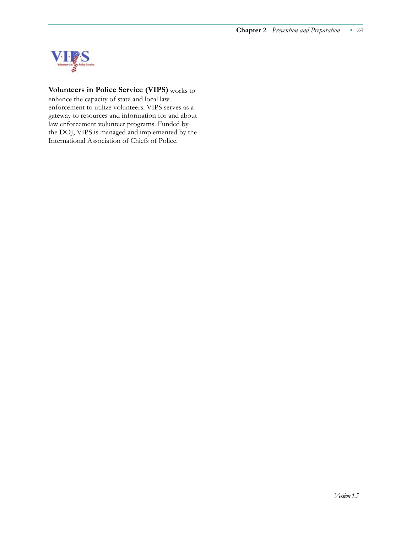

#### **Volunteers in Police Service (VIPS)** works to

enhance the capacity of state and local law enforcement to utilize volunteers. VIPS serves as a gateway to resources and information for and about law enforcement volunteer programs. Funded by the DOJ, VIPS is managed and implemented by the International Association of Chiefs of Police.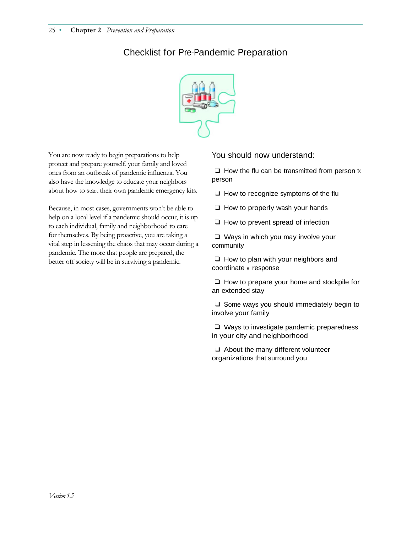## Checklist for Pre-Pandemic Preparation



You are now ready to begin preparations to help protect and prepare yourself, your family and loved ones from an outbreak of pandemic influenza. You also have the knowledge to educate your neighbors about how to start their own pandemic emergency kits.

Because, in most cases, governments won't be able to help on a local level if a pandemic should occur, it is up to each individual, family and neighborhood to care for themselves. By being proactive, you are taking a vital step in lessening the chaos that may occur during a pandemic. The more that people are prepared, the better off society will be in surviving a pandemic.

You should now understand:

 $\Box$  How the flu can be transmitted from person to person

❑ How to recognize symptoms of the flu

❑ How to properly wash your hands

❑ How to prevent spread of infection

❑ Ways in which you may involve your community

❑ How to plan with your neighbors and coordinate a response

❑ How to prepare your home and stockpile for an extended stay

❑ Some ways you should immediately begin to involve your family

❑ Ways to investigate pandemic preparedness in your city and neighborhood

❑ About the many different volunteer organizations that surround you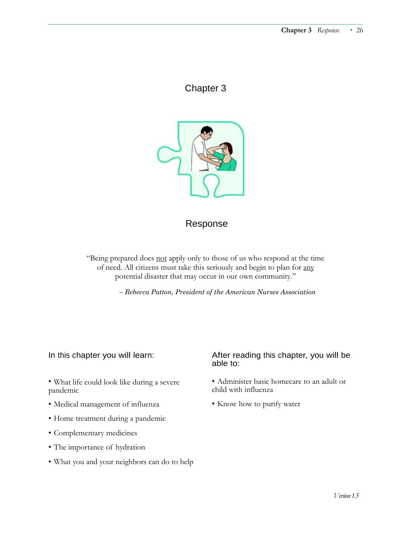## Chapter 3



#### Response

"Being prepared does not apply only to those of us who respond at the time of need. All citizens must take this seriously and begin to plan for any potential disaster that may occur in our own community."

*– Rebecca Patton, President of the American Nurses Association* 

- What life could look like during a severe pandemic
- Medical management of influenza
- Home treatment during a pandemic
- Complementary medicines
- The importance of hydration
- What you and your neighbors can do to help

#### In this chapter you will learn: After reading this chapter, you will be able to:

- Administer basic homecare to an adult or child with influenza
- Know how to purify water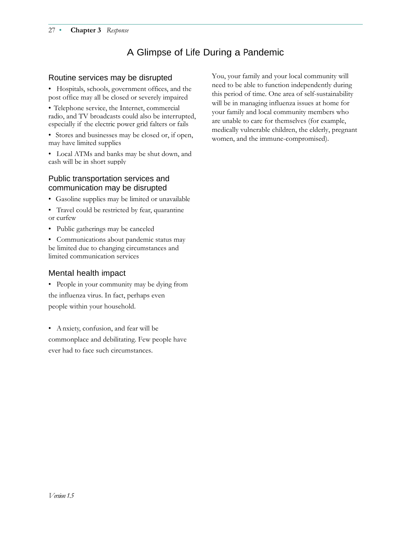## A Glimpse of Life During a Pandemic

#### Routine services may be disrupted

• Hospitals, schools, government offices, and the post office may all be closed or severely impaired

• Telephone service, the Internet, commercial radio, and TV broadcasts could also be interrupted, especially if the electric power grid falters or fails

• Stores and businesses may be closed or, if open, may have limited supplies

• Local ATMs and banks may be shut down, and cash will be in short supply

#### Public transportation services and communication may be disrupted

• Gasoline supplies may be limited or unavailable

• Travel could be restricted by fear, quarantine or curfew

• Public gatherings may be canceled

• Communications about pandemic status may be limited due to changing circumstances and limited communication services

#### Mental health impact

• People in your community may be dying from the influenza virus. In fact, perhaps even people within your household.

• A nxiety, confusion, and fear will be commonplace and debilitating. Few people have ever had to face such circumstances.

You, your family and your local community will need to be able to function independently during this period of time. One area of self-sustainability will be in managing influenza issues at home for your family and local community members who are unable to care for themselves (for example, medically vulnerable children, the elderly, pregnant women, and the immune-compromised).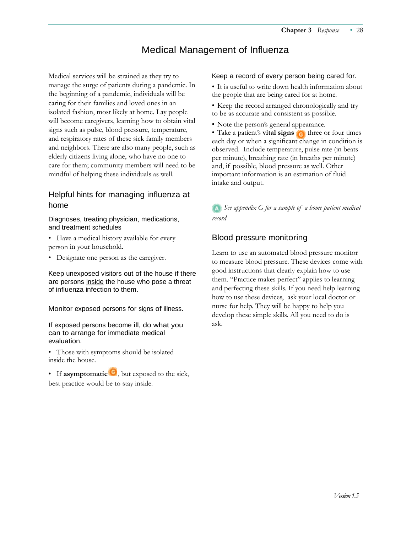## Medical Management of Influenza

Medical services will be strained as they try to manage the surge of patients during a pandemic. In the beginning of a pandemic, individuals will be caring for their families and loved ones in an isolated fashion, most likely at home. Lay people will become caregivers, learning how to obtain vital signs such as pulse, blood pressure, temperature, and respiratory rates of these sick family members and neighbors. There are also many people, such as elderly citizens living alone, who have no one to care for them; community members will need to be mindful of helping these individuals as well.

#### Helpful hints for managing influenza at home

#### Diagnoses, treating physician, medications, and treatment schedules

- Have a medical history available for every person in your household.
- Designate one person as the caregiver.

Keep unexposed visitors out of the house if there are persons inside the house who pose a threat of influenza infection to them.

Monitor exposed persons for signs of illness.

If exposed persons become ill, do what you can to arrange for immediate medical evaluation.

• Those with symptoms should be isolated inside the house.

• If **asymptomatic** , but exposed to the sick, best practice would be to stay inside.

#### Keep a record of every person being cared for.

• It is useful to write down health information about the people that are being cared for at home.

• Keep the record arranged chronologically and try to be as accurate and consistent as possible.

• Note the person's general appearance.

• Take a patient's **vital signs there** or four times each day or when a significant change in condition is observed. Include temperature, pulse rate (in beats per minute), breathing rate (in breaths per minute) and, if possible, blood pressure as well. Other important information is an estimation of fluid intake and output.

*See appendix G for a sample of a home patient medical record*

#### Blood pressure monitoring

Learn to use an automated blood pressure monitor to measure blood pressure. These devices come with good instructions that clearly explain how to use them. "Practice makes perfect" applies to learning and perfecting these skills. If you need help learning how to use these devices, ask your local doctor or nurse for help. They will be happy to help you develop these simple skills. All you need to do is ask.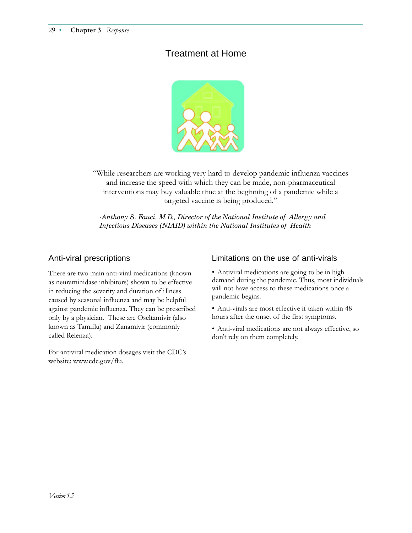## Treatment at Home



"While researchers are working very hard to develop pandemic influenza vaccines and increase the speed with which they can be made, non-pharmaceutical interventions may buy valuable time at the beginning of a pandemic while a targeted vaccine is being produced."

*-Anthony S. Fauci, M.D., Director of the National Institute of Allergy and Infectious Diseases (NIAID) within the National Institutes of Health*

#### Anti-viral prescriptions

There are two main anti-viral medications (known as neuraminidase inhibitors) shown to be effective in reducing the severity and duration of illness caused by seasonal influenza and may be helpful against pandemic influenza. They can be prescribed only by a physician. These are Oseltamivir (also known as Tamiflu) and Zanamivir (commonly called Relenza).

For antiviral medication dosages visit the CDC's website: www.cdc.gov/flu.

#### Limitations on the use of anti-virals

• Antiviral medications are going to be in high demand during the pandemic. Thus, most individuals will not have access to these medications once a pandemic begins.

• Anti-virals are most effective if taken within 48 hours after the onset of the first symptoms.

• Anti-viral medications are not always effective, so don't rely on them completely.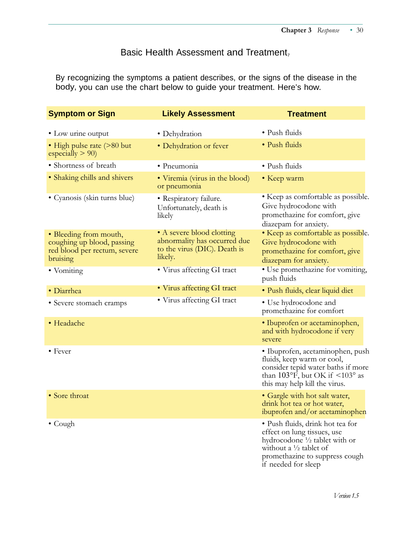## Basic Health Assessment and Treatment,

By recognizing the symptoms a patient describes, or the signs of the disease in the body, you can use the chart below to guide your treatment. Here's how.

| <b>Symptom or Sign</b>                                                                           | <b>Likely Assessment</b>                                                                             | <b>Treatment</b>                                                                                                                                                                                          |
|--------------------------------------------------------------------------------------------------|------------------------------------------------------------------------------------------------------|-----------------------------------------------------------------------------------------------------------------------------------------------------------------------------------------------------------|
| • Low urine output                                                                               | • Dehydration                                                                                        | • Push fluids                                                                                                                                                                                             |
| • High pulse rate (>80 but<br>especially $> 90$ )                                                | • Dehydration or fever                                                                               | · Push fluids                                                                                                                                                                                             |
| • Shortness of breath                                                                            | · Pneumonia                                                                                          | • Push fluids                                                                                                                                                                                             |
| • Shaking chills and shivers                                                                     | • Viremia (virus in the blood)<br>or pneumonia                                                       | • Keep warm                                                                                                                                                                                               |
| • Cyanosis (skin turns blue)                                                                     | • Respiratory failure.<br>Unfortunately, death is<br>likely                                          | • Keep as comfortable as possible.<br>Give hydrocodone with<br>promethazine for comfort, give<br>diazepam for anxiety.                                                                                    |
| • Bleeding from mouth,<br>coughing up blood, passing<br>red blood per rectum, severe<br>bruising | • A severe blood clotting<br>abnormality has occurred due<br>to the virus (DIC). Death is<br>likely. | • Keep as comfortable as possible.<br>Give hydrocodone with<br>promethazine for comfort, give<br>diazepam for anxiety.                                                                                    |
| • Vomiting                                                                                       | • Virus affecting GI tract                                                                           | • Use promethazine for vomiting,<br>push fluids                                                                                                                                                           |
| · Diarrhea                                                                                       | • Virus affecting GI tract                                                                           | • Push fluids, clear liquid diet                                                                                                                                                                          |
| • Severe stomach cramps                                                                          | • Virus affecting GI tract                                                                           | • Use hydrocodone and<br>promethazine for comfort                                                                                                                                                         |
| • Headache                                                                                       |                                                                                                      | • Ibuprofen or acetaminophen,<br>and with hydrocodone if very<br>severe                                                                                                                                   |
| $\bullet$ Fever                                                                                  |                                                                                                      | • Ibuprofen, acetaminophen, push<br>fluids, keep warm or cool,<br>consider tepid water baths if more<br>than 103°F, but OK if $\leq 103^\circ$ as<br>this may help kill the virus.                        |
| • Sore throat                                                                                    |                                                                                                      | • Gargle with hot salt water,<br>drink hot tea or hot water,<br>ibuprofen and/or acetaminophen                                                                                                            |
| $\bullet$ Cough                                                                                  |                                                                                                      | • Push fluids, drink hot tea for<br>effect on lung tissues, use<br>hydrocodone $\frac{1}{2}$ tablet with or<br>without a $\frac{1}{2}$ tablet of<br>promethazine to suppress cough<br>if needed for sleep |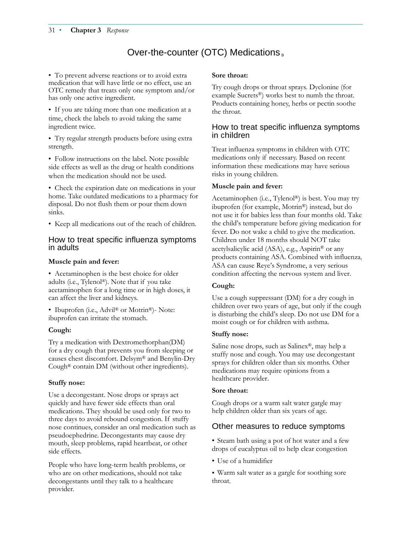## Over-the-counter (OTC) Medications,

• To prevent adverse reactions or to avoid extra medication that will have little or no effect, use an OTC remedy that treats only one symptom and/or has only one active ingredient.

• If you are taking more than one medication at a time, check the labels to avoid taking the same ingredient twice.

• Try regular strength products before using extra strength.

• Follow instructions on the label. Note possible side effects as well as the drug or health conditions when the medication should not be used.

• Check the expiration date on medications in your home. Take outdated medications to a pharmacy for disposal. Do not flush them or pour them down sinks.

• Keep all medications out of the reach of children.

#### How to treat specific influenza symptoms in adults

#### **Muscle pain and fever:**

• Acetaminophen is the best choice for older adults (i.e., Tylenol®). Note that if you take acetaminophen for a long time or in high doses, it can affect the liver and kidneys.

• Ibuprofen (i.e., Advil<sup>®</sup> or Motrin®)- Note: ibuprofen can irritate the stomach.

#### **Cough:**

Try a medication with Dextromethorphan(DM) for a dry cough that prevents you from sleeping or causes chest discomfort. Delsym® and Benylin-Dry Cough® contain DM (without other ingredients).

#### **Stuffy nose:**

Use a decongestant. Nose drops or sprays act quickly and have fewer side effects than oral medications. They should be used only for two to three days to avoid rebound congestion. If stuffy nose continues, consider an oral medication such as pseudoephedrine. Decongestants may cause dry mouth, sleep problems, rapid heartbeat, or other side effects.

People who have long-term health problems, or who are on other medications, should not take decongestants until they talk to a healthcare provider.

#### **Sore throat:**

Try cough drops or throat sprays. Dyclonine (for example Sucrets®) works best to numb the throat. Products containing honey, herbs or pectin soothe the throat.

#### How to treat specific influenza symptoms in children

Treat influenza symptoms in children with OTC medications only if necessary. Based on recent information these medications may have serious risks in young children.

#### **Muscle pain and fever:**

Acetaminophen (i.e., Tylenol®) is best. You may try ibuprofen (for example, Motrin®) instead, but do not use it for babies less than four months old. Take the child's temperature before giving medication for fever. Do not wake a child to give the medication. Children under 18 months should NOT take acetylsalicylic acid (ASA), e.g., Aspirin® or any products containing ASA. Combined with influenza, ASA can cause Reye's Syndrome, a very serious condition affecting the nervous system and liver.

#### **Cough:**

Use a cough suppressant (DM) for a dry cough in children over two years of age, but only if the cough is disturbing the child's sleep. Do not use DM for a moist cough or for children with asthma.

#### **Stuffy nose:**

Saline nose drops, such as Salinex®, may help a stuffy nose and cough. You may use decongestant sprays for children older than six months. Other medications may require opinions from a healthcare provider.

#### **Sore throat:**

Cough drops or a warm salt water gargle may help children older than six years of age.

#### Other measures to reduce symptoms

• Steam bath using a pot of hot water and a few drops of eucalyptus oil to help clear congestion

• Use of a humidifier

• Warm salt water as a gargle for soothing sore throat.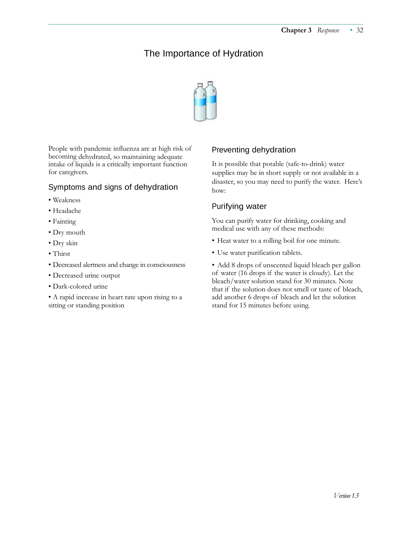## The Importance of Hydration



People with pandemic influenza are at high risk of becoming dehydrated, so maintaining adequate intake of liquids is a critically important function for caregivers.

#### Symptoms and signs of dehydration

- Weakness
- Headache
- Fainting
- Dry mouth
- Dry skin
- Thirst
- Decreased alertness and change in consciousness
- Decreased urine output
- Dark-colored urine
- A rapid increase in heart rate upon rising to a sitting or standing position

#### Preventing dehydration

It is possible that potable (safe-to-drink) water supplies may be in short supply or not available in a disaster, so you may need to purify the water. Here's how:

#### Purifying water

You can purify water for drinking, cooking and medical use with any of these methods:

- Heat water to a rolling boil for one minute.
- Use water purification tablets.
- Add 8 drops of unscented liquid bleach per gallon of water (16 drops if the water is cloudy). Let the bleach/water solution stand for 30 minutes. Note that if the solution does not smell or taste of bleach, add another 6 drops of bleach and let the solution stand for 15 minutes before using.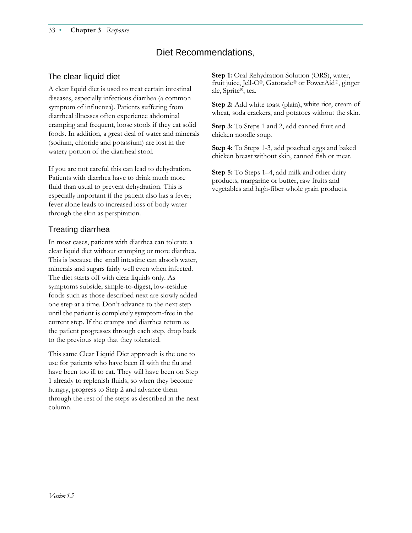## Diet Recommendations,

#### The clear liquid diet

A clear liquid diet is used to treat certain intestinal diseases, especially infectious diarrhea (a common symptom of influenza). Patients suffering from diarrheal illnesses often experience abdominal cramping and frequent, loose stools if they eat solid foods. In addition, a great deal of water and minerals (sodium, chloride and potassium) are lost in the watery portion of the diarrheal stool.

If you are not careful this can lead to dehydration. Patients with diarrhea have to drink much more fluid than usual to prevent dehydration. This is especially important if the patient also has a fever; fever alone leads to increased loss of body water through the skin as perspiration.

### Treating diarrhea

In most cases, patients with diarrhea can tolerate a clear liquid diet without cramping or more diarrhea. This is because the small intestine can absorb water, minerals and sugars fairly well even when infected. The diet starts off with clear liquids only. As symptoms subside, simple-to-digest, low-residue foods such as those described next are slowly added one step at a time. Don't advance to the next step until the patient is completely symptom-free in the current step. If the cramps and diarrhea return as the patient progresses through each step, drop back to the previous step that they tolerated.

This same Clear Liquid Diet approach is the one to use for patients who have been ill with the flu and have been too ill to eat. They will have been on Step 1 already to replenish fluids, so when they become hungry, progress to Step 2 and advance them through the rest of the steps as described in the next column.

**Step 1:** Oral Rehydration Solution (ORS), water, fruit juice, Jell-O®, Gatorade® or PowerAid®, ginger ale, Sprite®, tea.

Step 2: Add white toast (plain), white rice, cream of wheat, soda crackers, and potatoes without the skin.

**Step 3:** To Steps 1 and 2, add canned fruit and chicken noodle soup.

**Step 4:** To Steps 1-3, add poached eggs and baked chicken breast without skin, canned fish or meat.

**Step 5:** To Steps 1–4, add milk and other dairy products, margarine or butter, raw fruits and vegetables and high-fiber whole grain products.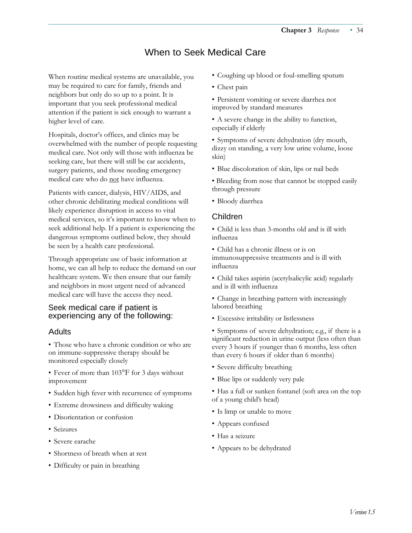## When to Seek Medical Care

When routine medical systems are unavailable, you may be required to care for family, friends and neighbors but only do so up to a point. It is important that you seek professional medical attention if the patient is sick enough to warrant a higher level of care.

Hospitals, doctor's offices, and clinics may be overwhelmed with the number of people requesting medical care. Not only will those with influenza be seeking care, but there will still be car accidents, surgery patients, and those needing emergency medical care who do not have influenza.

Patients with cancer, dialysis, HIV/AIDS, and other chronic debilitating medical conditions will likely experience disruption in access to vital medical services, so it's important to know when to seek additional help. If a patient is experiencing the dangerous symptoms outlined below, they should be seen by a health care professional.

Through appropriate use of basic information at home, we can all help to reduce the demand on our healthcare system. We then ensure that our family and neighbors in most urgent need of advanced medical care will have the access they need.

#### Seek medical care if patient is experiencing any of the following:

#### **Adults**

• Those who have a chronic condition or who are on immune-suppressive therapy should be monitored especially closely

- Fever of more than 103<sup>o</sup>F for 3 days without improvement
- Sudden high fever with recurrence of symptoms
- Extreme drowsiness and difficulty waking
- Disorientation or confusion
- Seizures
- Severe earache
- Shortness of breath when at rest
- Difficulty or pain in breathing
- Coughing up blood or foul-smelling sputum
- Chest pain

• Persistent vomiting or severe diarrhea not improved by standard measures

• A severe change in the ability to function, especially if elderly

• Symptoms of severe dehydration (dry mouth, dizzy on standing, a very low urine volume, loose skin)

- Blue discoloration of skin, lips or nail beds
- Bleeding from nose that cannot be stopped easily through pressure
- Bloody diarrhea

#### Children

• Child is less than 3-months old and is ill with influenza

• Child has a chronic illness or is on immunosuppressive treatments and is ill with influenza

• Child takes aspirin (acetylsalicylic acid) regularly and is ill with influenza

• Change in breathing pattern with increasingly labored breathing

• Excessive irritability or listlessness

• Symptoms of severe dehydration; e.g., if there is a significant reduction in urine output (less often than every 3 hours if younger than 6 months, less often than every 6 hours if older than 6 months)

- Severe difficulty breathing
- Blue lips or suddenly very pale
- Has a full or sunken fontanel (soft area on the top of a young child's head)
- Is limp or unable to move
- Appears confused
- Has a seizure
- Appears to be dehydrated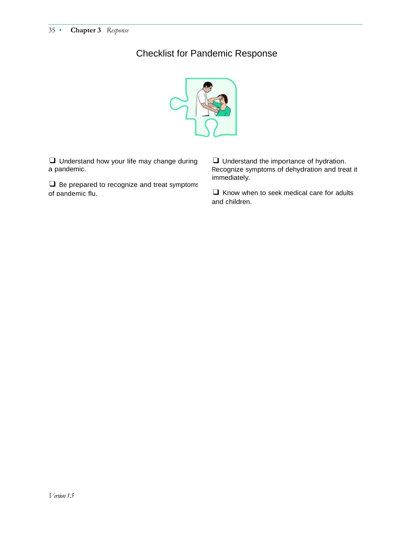## Checklist for Pandemic Response



❑ Understand how your life may change during a pandemic.

❑ Be prepared to recognize and treat symptoms of pandemic flu.

❑ Understand the importance of hydration. Recognize symptoms of dehydration and treat it immediately.

❑ Know when to seek medical care for adults and children.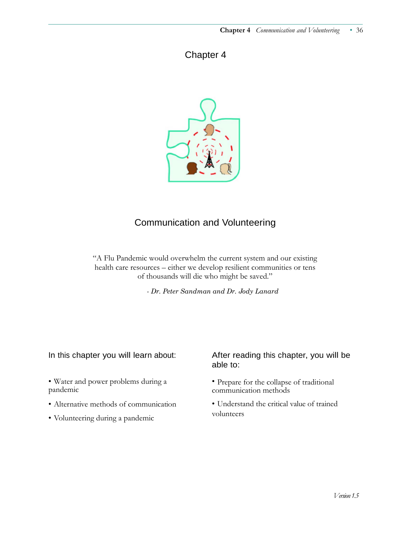## Chapter 4



## Communication and Volunteering

"A Flu Pandemic would overwhelm the current system and our existing health care resources – either we develop resilient communities or tens of thousands will die who might be saved."

*- Dr. Peter Sandman and Dr. Jody Lanard*

• Water and power problems during a pandemic

- Alternative methods of communication
- Volunteering during a pandemic

#### In this chapter you will learn about: After reading this chapter, you will be able to:

- Prepare for the collapse of traditional communication methods
- Understand the critical value of trained volunteers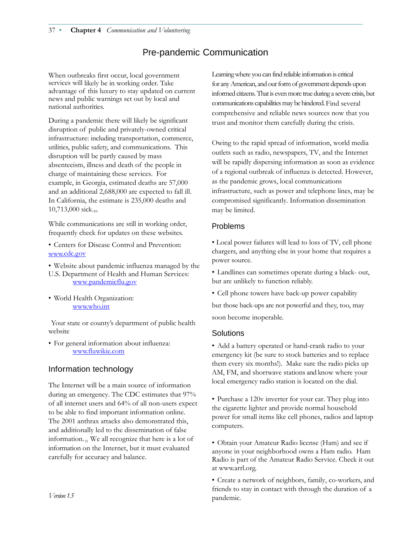## Pre-pandemic Communication

When outbreaks first occur, local government services will likely be in working order. Take advantage of this luxury to stay updated on current news and public warnings set out by local and national authorities.

During a pandemic there will likely be significant disruption of public and privately-owned critical infrastructure: including transportation, commerce, utilities, public safety, and communications. This disruption will be partly caused by mass absenteeism, illness and death of the people in charge of maintaining these services. For example, in Georgia, estimated deaths are 57,000 and an additional 2,688,000 are expected to fall ill. In California, the estimate is 235,000 deaths and  $10,713,000$  sick. $_{10}$ 

While communications are still in working order, frequently check for updates on these websites.

• Centers for Disease Control and Prevention: www.cdc.gov

• Website about pandemic influenza managed by the U.S. Department of Health and Human Services: www.pandemicflu.gov

• World Health Organization: www.who.int

 Your state or county's department of public health website

• For general information about influenza: www.fluwikie.com

## Information technology

The Internet will be a main source of information during an emergency. The CDC estimates that 97% of all internet users and 64% of all non-users expect to be able to find important information online. The 2001 anthrax attacks also demonstrated this, and additionally led to the dissemination of false information.  $_{11}$  We all recognize that here is a lot of information on the Internet, but it must evaluated carefully for accuracy and balance.

Learning where you can find reliable information is critical for any American, and our form of government depends upon informed citizens. That is even more true during a severe crisis, but communications capabilities may be hindered. Find several comprehensive and reliable news sources now that you trust and monitor them carefully during the crisis.

Owing to the rapid spread of information, world media outlets such as radio, newspapers, TV, and the Internet will be rapidly dispersing information as soon as evidence of a regional outbreak of influenza is detected. However, as the pandemic grows, local communications infrastructure, such as power and telephone lines, may be compromised significantly. Information dissemination may be limited.

#### Problems

• Local power failures will lead to loss of TV, cell phone chargers, and anything else in your home that requires a power source.

• Landlines can sometimes operate during a black- out, but are unlikely to function reliably.

• Cell phone towers have back-up power capability

but those back-ups are not powerful and they, too, may soon become inoperable.

#### **Solutions**

• Add a battery operated or hand-crank radio to your emergency kit (be sure to stock batteries and to replace them every six months!). Make sure the radio picks up AM, FM, and shortwave stations and know where your local emergency radio station is located on the dial.

• Purchase a 120v inverter for your car. They plug into the cigarette lighter and provide normal household power for small items like cell phones, radios and laptop computers.

• Obtain your Amateur Radio license (Ham) and see if anyone in your neighborhood owns a Ham radio. Ham Radio is part of the Amateur Radio Service. Check it out at www.arrl.org.

• Create a network of neighbors, family, co-workers, and friends to stay in contact with through the duration of a *Version 1.5* pandemic.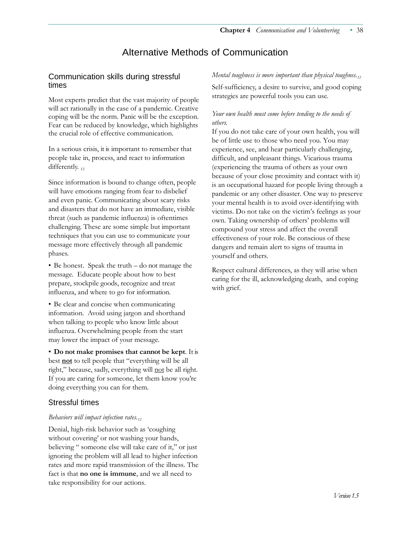## Alternative Methods of Communication

#### Communication skills during stressful times

Most experts predict that the vast majority of people will act rationally in the case of a pandemic. Creative coping will be the norm. Panic will be the exception. Fear can be reduced by knowledge, which highlights the crucial role of effective communication.

In a serious crisis, it is important to remember that people take in, process, and react to information differently.  $_{12}$ 

Since information is bound to change often, people will have emotions ranging from fear to disbelief and even panic. Communicating about scary risks and disasters that do not have an immediate, visible threat (such as pandemic influenza) is oftentimes challenging. These are some simple but important techniques that you can use to communicate your message more effectively through all pandemic phases.

• Be honest. Speak the truth – do not manage the message. Educate people about how to best prepare, stockpile goods, recognize and treat influenza, and where to go for information.

• Be clear and concise when communicating information. Avoid using jargon and shorthand when talking to people who know little about influenza. Overwhelming people from the start may lower the impact of your message.

• **Do not make promises that cannot be kept**. It is best **not** to tell people that "everything will be all right," because, sadly, everything will not be all right. If you are caring for someone, let them know you're doing everything you can for them.

#### Stressful times

#### *Behaviors will impact infection rates.12*

Denial, high-risk behavior such as 'coughing without covering' or not washing your hands, believing " someone else will take care of it," or just ignoring the problem will all lead to higher infection rates and more rapid transmission of the illness. The fact is that **no one is immune**, and we all need to take responsibility for our actions.

#### *Mental toughness is more important than physical toughnes.12*

Self-sufficiency, a desire to survive, and good coping strategies are powerful tools you can use.

#### *Your own health must come before tending to the needs of others.*

If you do not take care of your own health, you will be of little use to those who need you. You may experience, see, and hear particularly challenging, difficult, and unpleasant things. Vicarious trauma (experiencing the trauma of others as your own because of your close proximity and contact with it) is an occupational hazard for people living through a pandemic or any other disaster. One way to preserve your mental health is to avoid over-identifying with victims. Do not take on the victim's feelings as your own. Taking ownership of others' problems will compound your stress and affect the overall effectiveness of your role. Be conscious of these dangers and remain alert to signs of trauma in yourself and others.

Respect cultural differences, as they will arise when caring for the ill, acknowledging death, and coping with grief.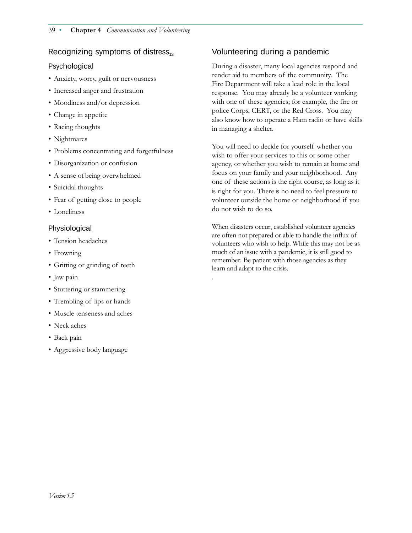#### Recognizing symptoms of distress $_{13}$

#### Psychological

- Anxiety, worry, guilt or nervousness
- Increased anger and frustration
- Moodiness and/or depression
- Change in appetite
- Racing thoughts
- Nightmares
- Problems concentrating and forgetfulness
- Disorganization or confusion
- A sense of being overwhelmed
- Suicidal thoughts
- Fear of getting close to people
- Loneliness

#### Physiological

- Tension headaches
- Frowning
- Gritting or grinding of teeth
- Jaw pain
- Stuttering or stammering
- Trembling of lips or hands
- Muscle tenseness and aches
- Neck aches
- Back pain
- Aggressive body language

#### Volunteering during a pandemic

During a disaster, many local agencies respond and render aid to members of the community. The Fire Department will take a lead role in the local response. You may already be a volunteer working with one of these agencies; for example, the fire or police Corps, CERT, or the Red Cross. You may also know how to operate a Ham radio or have skills in managing a shelter.

You will need to decide for yourself whether you wish to offer your services to this or some other agency, or whether you wish to remain at home and focus on your family and your neighborhood. Any one of these actions is the right course, as long as it is right for you. There is no need to feel pressure to volunteer outside the home or neighborhood if you do not wish to do so.

When disasters occur, established volunteer agencies are often not prepared or able to handle the influx of volunteers who wish to help. While this may not be as much of an issue with a pandemic, it is still good to remember. Be patient with those agencies as they learn and adapt to the crisis.

.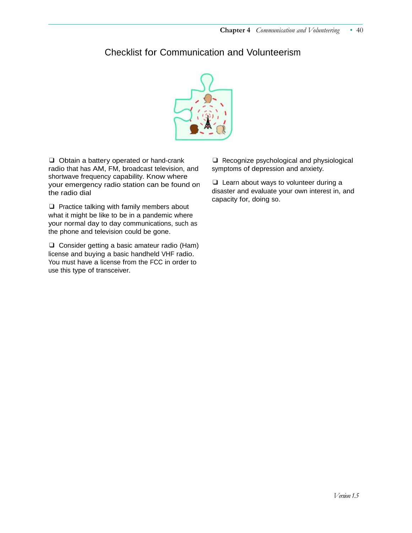## Checklist for Communication and Volunteerism



❑ Obtain a battery operated or hand-crank radio that has AM, FM, broadcast television, and shortwave frequency capability. Know where your emergency radio station can be found on the radio dial

❑ Practice talking with family members about what it might be like to be in a pandemic where your normal day to day communications, such as the phone and television could be gone.

❑ Consider getting a basic amateur radio (Ham) license and buying a basic handheld VHF radio. You must have a license from the FCC in order to use this type of transceiver.

❑ Recognize psychological and physiological symptoms of depression and anxiety.

❑ Learn about ways to volunteer during a disaster and evaluate your own interest in, and capacity for, doing so.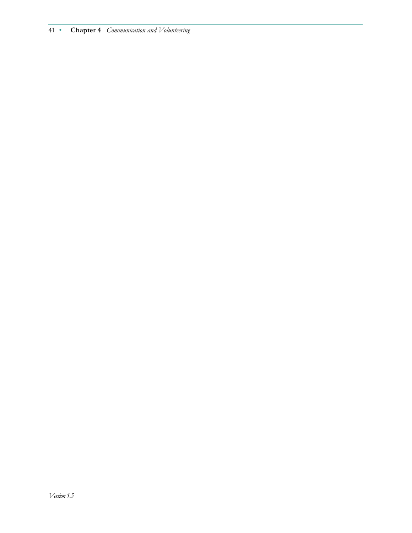#### 41 • **Chapter 4** *Communication and Volunteering*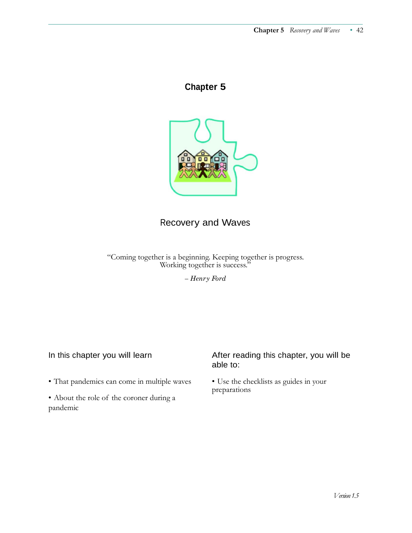## **Chapter 5**



Recovery and Waves

"Coming together is a beginning. Keeping together is progress. Working together is success."

*– Henry Ford*

- That pandemics can come in multiple waves
- About the role of the coroner during a pandemic

#### In this chapter you will learn After reading this chapter, you will be able to:

• Use the checklists as guides in your preparations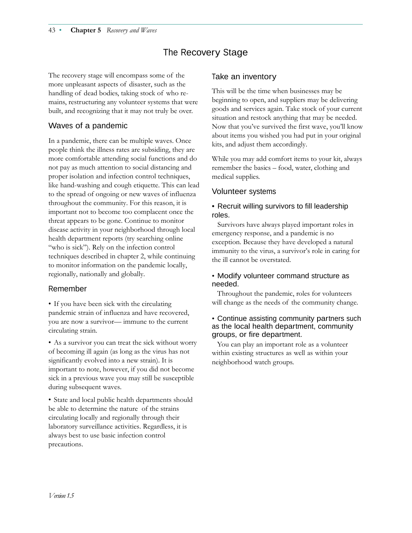## The Recovery Stage

The recovery stage will encompass some of the more unpleasant aspects of disaster, such as the handling of dead bodies, taking stock of who remains, restructuring any volunteer systems that were built, and recognizing that it may not truly be over.

#### Waves of a pandemic

In a pandemic, there can be multiple waves. Once people think the illness rates are subsiding, they are more comfortable attending social functions and do not pay as much attention to social distancing and proper isolation and infection control techniques, like hand-washing and cough etiquette. This can lead to the spread of ongoing or new waves of influenza throughout the community. For this reason, it is important not to become too complacent once the threat appears to be gone. Continue to monitor disease activity in your neighborhood through local health department reports (try searching online "who is sick"). Rely on the infection control techniques described in chapter 2, while continuing to monitor information on the pandemic locally, regionally, nationally and globally.

#### Remember

• If you have been sick with the circulating pandemic strain of influenza and have recovered, you are now a survivor— immune to the current circulating strain.

• As a survivor you can treat the sick without worry of becoming ill again (as long as the virus has not significantly evolved into a new strain). It is important to note, however, if you did not become sick in a previous wave you may still be susceptible during subsequent waves.

• State and local public health departments should be able to determine the nature of the strains circulating locally and regionally through their laboratory surveillance activities. Regardless, it is always best to use basic infection control precautions.

#### Take an inventory

This will be the time when businesses may be beginning to open, and suppliers may be delivering goods and services again. Take stock of your current situation and restock anything that may be needed. Now that you've survived the first wave, you'll know about items you wished you had put in your original kits, and adjust them accordingly.

While you may add comfort items to your kit, always remember the basics – food, water, clothing and medical supplies.

#### Volunteer systems

#### • Recruit willing survivors to fill leadership roles.

 Survivors have always played important roles in emergency response, and a pandemic is no exception. Because they have developed a natural immunity to the virus, a survivor's role in caring for the ill cannot be overstated.

#### • Modify volunteer command structure as needed.

Throughout the pandemic, roles for volunteers will change as the needs of the community change.

#### • Continue assisting community partners such as the local health department, community groups, or fire department.

You can play an important role as a volunteer within existing structures as well as within your neighborhood watch groups.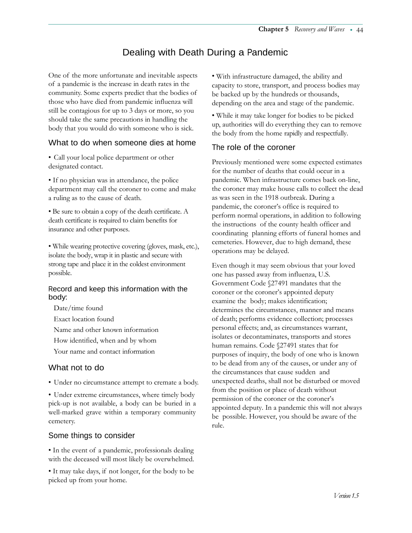## Dealing with Death During a Pandemic

One of the more unfortunate and inevitable aspects of a pandemic is the increase in death rates in the community. Some experts predict that the bodies of those who have died from pandemic influenza will still be contagious for up to 3 days or more, so you should take the same precautions in handling the body that you would do with someone who is sick.

#### What to do when someone dies at home

• Call your local police department or other designated contact.

• If no physician was in attendance, the police department may call the coroner to come and make a ruling as to the cause of death.

• Be sure to obtain a copy of the death certificate. A death certificate is required to claim benefits for insurance and other purposes.

• While wearing protective covering (gloves, mask, etc.), isolate the body, wrap it in plastic and secure with strong tape and place it in the coldest environment possible.

#### Record and keep this information with the body:

Date/time found

Exact location found

Name and other known information

How identified, when and by whom

Your name and contact information

#### What not to do

• Under no circumstance attempt to cremate a body.

• Under extreme circumstances, where timely body pick-up is not available, a body can be buried in a well-marked grave within a temporary community cemetery.

#### Some things to consider

• In the event of a pandemic, professionals dealing with the deceased will most likely be overwhelmed.

• It may take days, if not longer, for the body to be picked up from your home.

• With infrastructure damaged, the ability and capacity to store, transport, and process bodies may be backed up by the hundreds or thousands, depending on the area and stage of the pandemic.

• While it may take longer for bodies to be picked up, authorities will do everything they can to remove the body from the home rapidly and respectfully.

#### The role of the coroner

Previously mentioned were some expected estimates for the number of deaths that could occur in a pandemic. When infrastructure comes back on-line, the coroner may make house calls to collect the dead as was seen in the 1918 outbreak. During a pandemic, the coroner's office is required to perform normal operations, in addition to following the instructions of the county health officer and coordinating planning efforts of funeral homes and cemeteries. However, due to high demand, these operations may be delayed.

Even though it may seem obvious that your loved one has passed away from influenza, U.S. Government Code §27491 mandates that the coroner or the coroner's appointed deputy examine the body; makes identification; determines the circumstances, manner and means of death; performs evidence collection; processes personal effects; and, as circumstances warrant, isolates or decontaminates, transports and stores human remains. Code §27491 states that for purposes of inquiry, the body of one who is known to be dead from any of the causes, or under any of the circumstances that cause sudden and unexpected deaths, shall not be disturbed or moved from the position or place of death without permission of the coroner or the coroner's appointed deputy. In a pandemic this will not always be possible. However, you should be aware of the rule.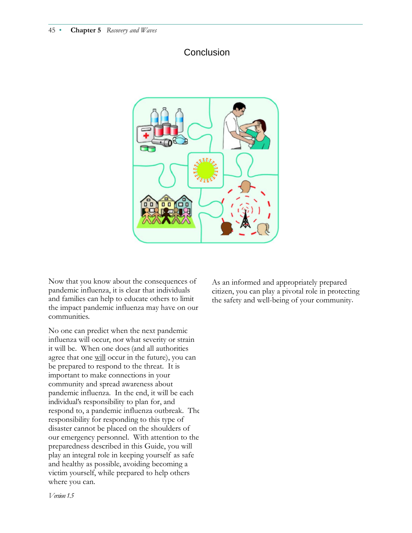## **Conclusion**



Now that you know about the consequences of pandemic influenza, it is clear that individuals and families can help to educate others to limit the impact pandemic influenza may have on our communities.

No one can predict when the next pandemic influenza will occur, nor what severity or strain it will be. When one does (and all authorities agree that one will occur in the future), you can be prepared to respond to the threat. It is important to make connections in your community and spread awareness about pandemic influenza. In the end, it will be each individual's responsibility to plan for, and respond to, a pandemic influenza outbreak. The responsibility for responding to this type of disaster cannot be placed on the shoulders of our emergency personnel. With attention to the preparedness described in this Guide, you will play an integral role in keeping yourself as safe and healthy as possible, avoiding becoming a victim yourself, while prepared to help others where you can.

*Version 1.5*

As an informed and appropriately prepared citizen, you can play a pivotal role in protecting the safety and well-being of your community.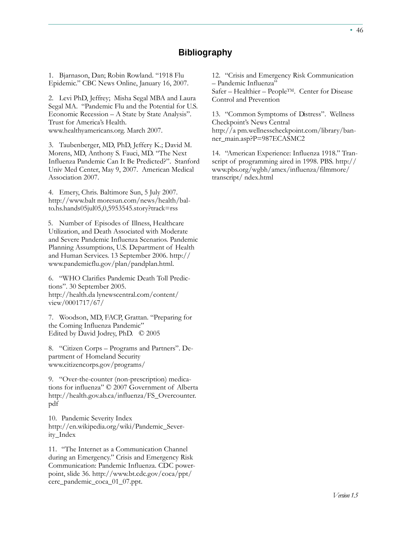### **Bibliography**

1. Bjarnason, Dan; Robin Rowland. "1918 Flu Epidemic." CBC News Online, January 16, 2007.

2. Levi PhD, Jeffrey; Misha Segal MBA and Laura Segal MA. "Pandemic Flu and the Potential for U.S. Economic Recession – A State by State Analysis". Trust for America's Health. www.healthyamericans.org. March 2007.

3. Taubenberger, MD, PhD, Jeffery K.; David M. Morens, MD, Anthony S. Fauci, MD. "The Next Influenza Pandemic Can It Be Predicted?". Stanford Univ Med Center, May 9, 2007. American Medical Association 2007.

4. Emery, Chris. Baltimore Sun, 5 July 2007. http://www.balt moresun.com/news/health/balto.hs.hands05jul05,0,5953545.story?track=rss

5. Number of Episodes of Illness, Healthcare Utilization, and Death Associated with Moderate and Severe Pandemic Influenza Scenarios. Pandemic Planning Assumptions, U.S. Department of Health and Human Services. 13 September 2006. http:// www.pandemicflu.gov/plan/pandplan.html.

6. "WHO Clarifies Pandemic Death Toll Predictions". 30 September 2005. http://health.da lynewscentral.com/content/ view/0001717/67/

7. Woodson, MD, FACP, Grattan. "Preparing for the Coming Influenza Pandemic" Edited by David Jodrey, PhD. © 2005

8. "Citizen Corps – Programs and Partners". Department of Homeland Security www.citizencorps.gov/programs/

9. "Over-the-counter (non-prescription) medications for influenza" © 2007 Government of Alberta http://health.gov.ab.ca/influenza/FS\_Overcounter. pdf

10. Pandemic Severity Index http://en.wikipedia.org/wiki/Pandemic\_Severity\_Index

11. "The Internet as a Communication Channel during an Emergency." Crisis and Emergency Risk Communication: Pandemic Influenza. CDC powerpoint, slide 36. http://www.bt.cdc.gov/coca/ppt/ cerc\_pandemic\_coca\_01\_07.ppt.

12. "Crisis and Emergency Risk Communication – Pandemic Influenza"

Safer – Healthier – PeopleTM. Center for Disease Control and Prevention

13. "Common Symptoms of Distress". Wellness Checkpoint's News Central http://a pm.wellnesscheckpoint.com/library/banner\_main.asp?P=987ECASMC2

14. "American Experience: Influenza 1918." Transcript of programming aired in 1998. PBS. http:// www.pbs.org/wgbh/amex/influenza/filmmore/ transcript/ ndex.html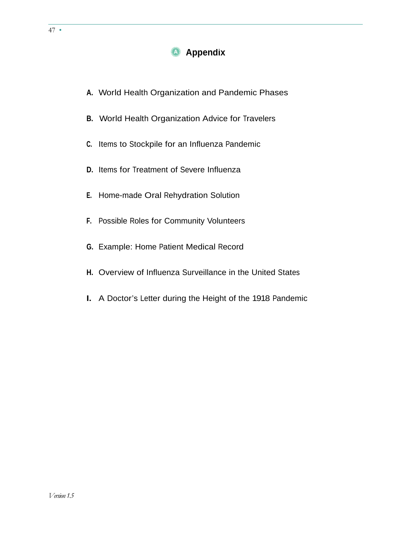

## **A** Appendix

- **A.** World Health Organization and Pandemic Phases
- **B.** World Health Organization Advice for Travelers
- **C.** Items to Stockpile for an Influenza Pandemic
- **D.** Items for Treatment of Severe Influenza
- **E.** Home-made Oral Rehydration Solution
- **F.** Possible Roles for Community Volunteers
- **G.** Example: Home Patient Medical Record
- **H.** Overview of Influenza Surveillance in the United States
- **I.** A Doctor's Letter during the Height of the 1918 Pandemic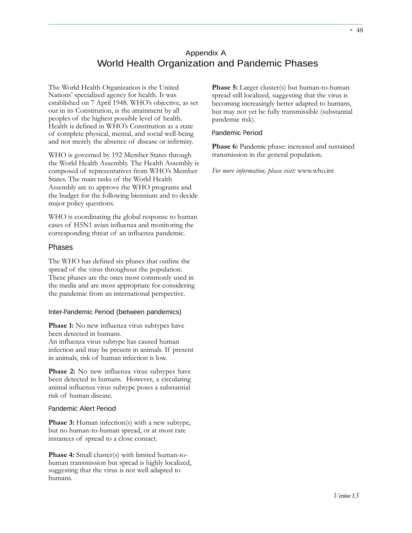#### Appendix A World Health Organization and Pandemic Phases

The World Health Organization is the United Nations' specialized agency for health. It was established on 7 April 1948. WHO's objective, as set out in its Constitution, is the attainment by all peoples of the highest possible level of health. Health is defined in WHO's Constitution as a state of complete physical, mental, and social well-being and not merely the absence of disease or infirmity.

WHO is governed by 192 Member States through the World Health Assembly. The Health Assembly is composed of representatives from WHO's Member States. The main tasks of the World Health Assembly are to approve the WHO programs and the budget for the following biennium and to decide major policy questions.

WHO is coordinating the global response to human cases of H5N1 avian influenza and monitoring the corresponding threat of an influenza pandemic.

#### Phases

The WHO has defined six phases that outline the spread of the virus throughout the population. These phases are the ones most commonly used in the media and are most appropriate for considering the pandemic from an international perspective.

#### Inter-Pandemic Period (between pandemics)

**Phase 1:** No new influenza virus subtypes have been detected in humans.

An influenza virus subtype has caused human infection and may be present in animals. If present in animals, risk of human infection is low.

**Phase 2:** No new influenza virus subtypes have been detected in humans. However, a circulating animal influenza virus subtype poses a substantial risk of human disease.

#### Pandemic Alert Period

**Phase 3:** Human infection(s) with a new subtype, but no human-to-human spread, or at most rare instances of spread to a close contact.

**Phase 4:** Small cluster(s) with limited human-tohuman transmission but spread is highly localized, suggesting that the virus is not well adapted to humans.

**Phase 5:** Larger cluster(s) but human-to-human spread still localized, suggesting that the virus is becoming increasingly better adapted to humans, but may not yet be fully transmissible (substantial pandemic risk).

#### Pandemic Period

**Phase 6:** Pandemic phase: increased and sustained transmission in the general population.

*For more information, please visit:* www.who.int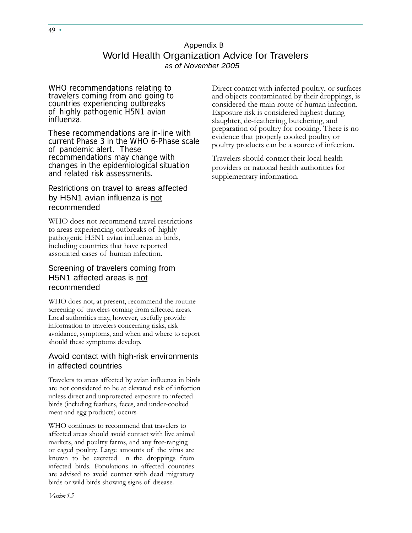## Appendix B World Health Organization Advice for Travelers *as of November 2005*

WHO recommendations relating to travelers coming from and going to countries experiencing outbreaks of highly pathogenic H5N1 avian influenza.

These recommendations are in-line with current Phase 3 in the WHO 6-Phase scale of pandemic alert. These recommendations may change with changes in the epidemiological situation and related risk assessments.

#### Restrictions on travel to areas affected by H5N1 avian influenza is not recommended

WHO does not recommend travel restrictions to areas experiencing outbreaks of highly pathogenic H5N1 avian influenza in birds, including countries that have reported associated cases of human infection.

#### Screening of travelers coming from H5N1 affected areas is not recommended

WHO does not, at present, recommend the routine screening of travelers coming from affected areas. Local authorities may, however, usefully provide information to travelers concerning risks, risk avoidance, symptoms, and when and where to report should these symptoms develop.

#### Avoid contact with high-risk environments in affected countries

Travelers to areas affected by avian influenza in birds are not considered to be at elevated risk of infection unless direct and unprotected exposure to infected birds (including feathers, feces, and under-cooked meat and egg products) occurs.

WHO continues to recommend that travelers to affected areas should avoid contact with live animal markets, and poultry farms, and any free-ranging or caged poultry. Large amounts of the virus are known to be excreted n the droppings from infected birds. Populations in affected countries are advised to avoid contact with dead migratory birds or wild birds showing signs of disease.

Direct contact with infected poultry, or surfaces and objects contaminated by their droppings, is considered the main route of human infection. Exposure risk is considered highest during slaughter, de-feathering, butchering, and preparation of poultry for cooking. There is no evidence that properly cooked poultry or poultry products can be a source of infection.

Travelers should contact their local health providers or national health authorities for supplementary information.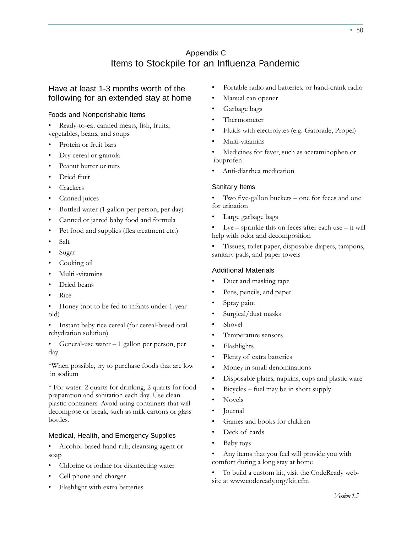### Appendix C Items to Stockpile for an Influenza Pandemic

#### Have at least 1-3 months worth of the following for an extended stay at home

#### Foods and Nonperishable Items

- Ready-to-eat canned meats, fish, fruits, vegetables, beans, and soups
- Protein or fruit bars
- Dry cereal or granola
- Peanut butter or nuts
- Dried fruit
- Crackers
- Canned juices
- Bottled water (1 gallon per person, per day)
- Canned or jarred baby food and formula
- Pet food and supplies (flea treatment etc.)
- Salt
- Sugar
- Cooking oil
- Multi -vitamins
- Dried beans
- Rice

• Honey (not to be fed to infants under 1-year old)

• Instant baby rice cereal (for cereal-based oral rehydration solution)

• General-use water – 1 gallon per person, per day

\*When possible, try to purchase foods that are low in sodium

\* For water: 2 quarts for drinking, 2 quarts for food preparation and sanitation each day. Use clean plastic containers. Avoid using containers that will decompose or break, such as milk cartons or glass bottles.

#### Medical, Health, and Emergency Supplies

• Alcohol-based hand rub, cleansing agent or soap

- Chlorine or iodine for disinfecting water
- Cell phone and charger
- Flashlight with extra batteries
- Portable radio and batteries, or hand-crank radio
- Manual can opener
- Garbage bags
- Thermometer
- Fluids with electrolytes (e.g. Gatorade, Propel)
- Multi-vitamins
- Medicines for fever, such as acetaminophen or ibuprofen
- Anti-diarrhea medication

#### Sanitary Items

- Two five-gallon buckets one for feces and one for urination
- Large garbage bags
- Lye sprinkle this on feces after each use it will help with odor and decomposition
- Tissues, toilet paper, disposable diapers, tampons, sanitary pads, and paper towels

#### Additional Materials

- Duct and masking tape
- Pens, pencils, and paper
- Spray paint
- Surgical/dust masks
- Shovel
- Temperature sensors
- Flashlights
- Plenty of extra batteries
- Money in small denominations
- Disposable plates, napkins, cups and plastic ware
- Bicycles fuel may be in short supply
- Novels
- Journal
- Games and books for children
- Deck of cards
- Baby toys
- Any items that you feel will provide you with comfort during a long stay at home
- To build a custom kit, visit the CodeReady website at www.codeready.org/kit.cfm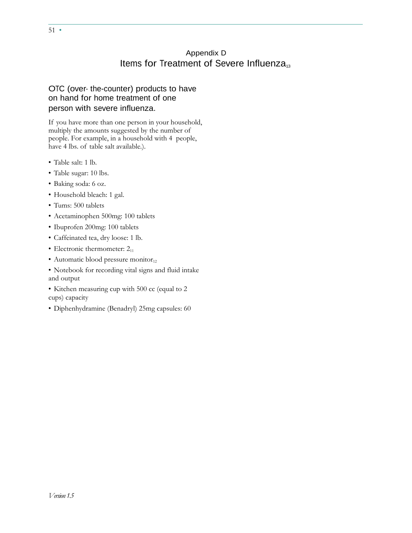## Appendix D Items for Treatment of Severe Influenza $<sub>13</sub>$ </sub>

#### OTC (over- the-counter) products to have on hand for home treatment of one person with severe influenza.

If you have more than one person in your household, multiply the amounts suggested by the number of people. For example, in a household with 4 people, have 4 lbs. of table salt available.).

- Table salt: 1 lb.
- Table sugar: 10 lbs.
- Baking soda: 6 oz.
- Household bleach: 1 gal.
- Tums: 500 tablets
- Acetaminophen 500mg: 100 tablets
- Ibuprofen 200mg: 100 tablets
- Caffeinated tea, dry loose: 1 lb.
- Electronic thermometer:  $2_{11}$
- Automatic blood pressure monitor<sub>12</sub>
- Notebook for recording vital signs and fluid intake and output
- Kitchen measuring cup with 500 cc (equal to 2 cups) capacity
- Diphenhydramine (Benadryl) 25mg capsules: 60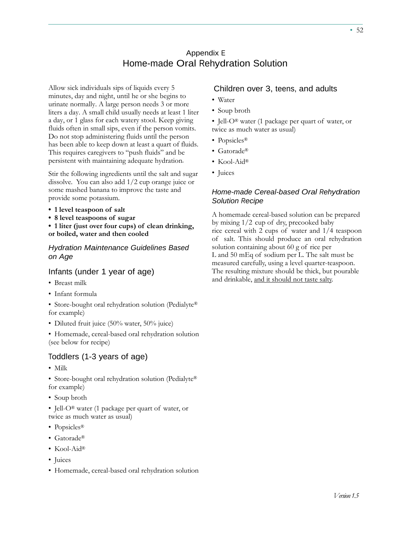#### Appendix E Home-made Oral Rehydration Solution

Allow sick individuals sips of liquids every 5 minutes, day and night, until he or she begins to urinate normally. A large person needs 3 or more liters a day. A small child usually needs at least 1 liter a day, or 1 glass for each watery stool. Keep giving fluids often in small sips, even if the person vomits. Do not stop administering fluids until the person has been able to keep down at least a quart of fluids. This requires caregivers to "push fluids" and be persistent with maintaining adequate hydration.

Stir the following ingredients until the salt and sugar dissolve. You can also add 1/2 cup orange juice or some mashed banana to improve the taste and provide some potassium.

- **1 level teaspoon of salt**
- **8 level teaspoons of sugar**

**• 1 liter (just over four cups) of clean drinking, or boiled, water and then cooled**

#### *Hydration Maintenance Guidelines Based on Age*

#### Infants (under 1 year of age)

- Breast milk
- Infant formula
- Store-bought oral rehydration solution (Pedialyte® for example)
- Diluted fruit juice (50% water, 50% juice)
- Homemade, cereal-based oral rehydration solution (see below for recipe)

#### Toddlers (1-3 years of age)

• Milk

• Store-bought oral rehydration solution (Pedialyte® for example)

- Soup broth
- Jell-O<sup>®</sup> water (1 package per quart of water, or twice as much water as usual)
- Popsicles<sup>®</sup>
- Gatorade®
- Kool-Aid®
- Juices
- Homemade, cereal-based oral rehydration solution

#### Children over 3, teens, and adults

- Water
- Soup broth

• Jell-O® water (1 package per quart of water, or twice as much water as usual)

- Popsicles<sup>®</sup>
- Gatorade®
- Kool-Aid®
- Juices

#### *Home-made Cereal-based Oral Rehydration Solution Recipe*

A homemade cereal-based solution can be prepared by mixing 1/2 cup of dry, precooked baby rice cereal with 2 cups of water and 1/4 teaspoon of salt. This should produce an oral rehydration solution containing about 60 g of rice per L and 50 mEq of sodium per L. The salt must be measured carefully, using a level quarter-teaspoon. The resulting mixture should be thick, but pourable and drinkable, and it should not taste salty.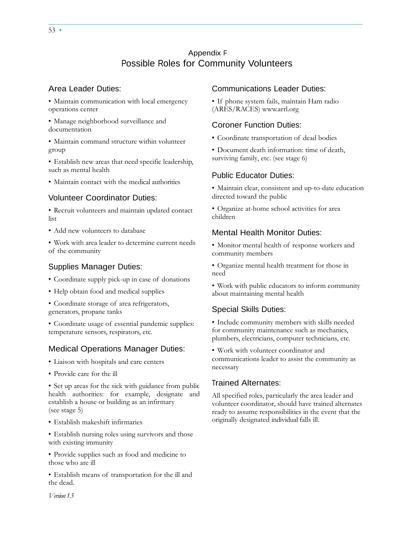53 •

### Appendix F Possible Roles for Community Volunteers

#### Area Leader Duties:

- Maintain communication with local emergency operations center
- Manage neighborhood surveillance and documentation

• Maintain command structure within volunteer group

- Establish new areas that need specific leadership, such as mental health
- Maintain contact with the medical authorities

#### Volunteer Coordinator Duties:

• Recruit volunteers and maintain updated contact list

• Add new volunteers to database

• Work with area leader to determine current needs of the community

#### Supplies Manager Duties:

- Coordinate supply pick-up in case of donations
- Help obtain food and medical supplies
- Coordinate storage of area refrigerators, generators, propane tanks

• Coordinate usage of essential pandemic supplies: temperature sensors, respirators, etc.

#### Medical Operations Manager Duties:

- Liaison with hospitals and care centers
- Provide care for the ill

• Set up areas for the sick with guidance from public health authorities: for example, designate and establish a house or building as an infirmary (see stage 5)

• Establish makeshift infirmaries

• Establish nursing roles using survivors and those with existing immunity

• Provide supplies such as food and medicine to those who are ill

• Establish means of transportation for the ill and the dead.

#### Communications Leader Duties:

• If phone system fails, maintain Ham radio (ARES/RACES) www.arrl.org

#### Coroner Function Duties:

- Coordinate transportation of dead bodies
- Document death information: time of death, surviving family, etc. (see stage 6)

#### Public Educator Duties:

- Maintain clear, consistent and up-to-date education directed toward the public
- Organize at-home school activities for area children

#### Mental Health Monitor Duties:

• Monitor mental health of response workers and community members

- Organize mental health treatment for those in need
- Work with public educators to inform community about maintaining mental health

#### Special Skills Duties:

• Include community members with skills needed for community maintenance such as mechanics, plumbers, electricians, computer technicians, etc.

• Work with volunteer coordinator and communications leader to assist the community as necessary

#### Trained Alternates:

All specified roles, particularly the area leader and volunteer coordinator, should have trained alternates ready to assume responsibilities in the event that the originally designated individual falls ill.

*Version 1.5*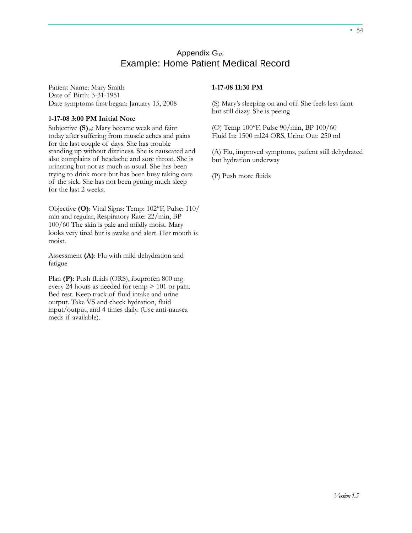#### Appendix  $G_{13}$ Example: Home Patient Medical Record

Patient Name: Mary Smith Date of Birth: 3-31-1951 Date symptoms first began: January 15, 2008

#### **1-17-08 3:00 PM Initial Note**

Subjective **(S)**19: Mary became weak and faint today after suffering from muscle aches and pains for the last couple of days. She has trouble standing up without dizziness. She is nauseated and also complains of headache and sore throat. She is urinating but not as much as usual. She has been trying to drink more but has been busy taking care of the sick. She has not been getting much sleep for the last 2 weeks.

Objective **(O)**: Vital Signs: Temp: 102°F, Pulse: 110/ min and regular, Respiratory Rate: 22/min, BP 100/60 The skin is pale and mildly moist. Mary looks very tired but is awake and alert. Her mouth is moist.

Assessment **(A)**: Flu with mild dehydration and fatigue

Plan **(P)**: Push fluids (ORS), ibuprofen 800 mg every 24 hours as needed for temp > 101 or pain. Bed rest. Keep track of fluid intake and urine output. Take VS and check hydration, fluid input/output, and 4 times daily. (Use anti-nausea meds if available).

#### **1-17-08 11:30 PM**

(S) Mary's sleeping on and off. She feels less faint but still dizzy. She is peeing

(O) Temp 100°F, Pulse 90/min, BP 100/60 Fluid In: 1500 ml24 ORS, Urine Out: 250 ml

(A) Flu, improved symptoms, patient still dehydrated but hydration underway

(P) Push more fluids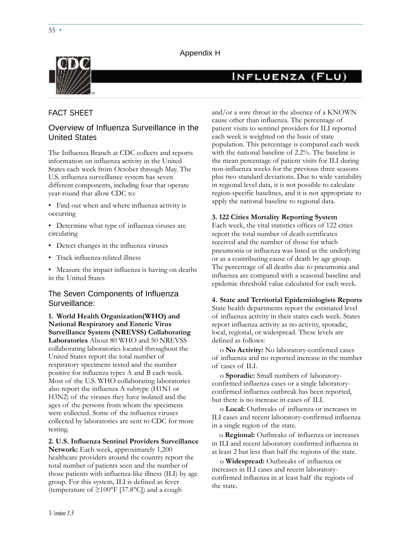Appendix H



## **INFLUENZA (FLU)**

#### FACT SHEET

#### Overview of Influenza Surveillance in the United States

The Influenza Branch at CDC collects and reports information on influenza activity in the United States each week from October through May. The U.S. influenza surveillance system has seven different components, including four that operate year-round that allow CDC to:

• Find out when and where influenza activity is occurring

• Determine what type of influenza viruses are circulating

- Detect changes in the influenza viruses
- Track influenza-related illness

• Measure the impact influenza is having on deaths in the United States

#### The Seven Components of Influenza Surveillance:

**1. World Health Organization(WHO) and National Respiratory and Enteric Virus Surveillance System (NREVSS) Collaborating Laboratories** About 80 WHO and 50 NREVSS collaborating laboratories located throughout the United States report the total number of respiratory specimens tested and the number positive for influenza types A and B each week. Most of the U.S. WHO collaborating laboratories also report the influenza A subtype (H1N1 or H3N2) of the viruses they have isolated and the ages of the persons from whom the specimens were collected. Some of the influenza viruses collected by laboratories are sent to CDC for more testing.

**2. U.S. Influenza Sentinel Providers Surveillance Network:** Each week, approximately 1,200 healthcare providers around the country report the total number of patients seen and the number of those patients with influenza-like illness (ILI) by age group. For this system, ILI is defined as fever (temperature of  $\geq$ 100°F [37.8°C]) and a cough

and/or a sore throat in the absence of a KNOWN cause other than influenza. The percentage of patient visits to sentinel providers for ILI reported each week is weighted on the basis of state population. This percentage is compared each week with the national baseline of 2.2%. The baseline is the mean percentage of patient visits for ILI during non-influenza weeks for the previous three seasons plus two standard deviations. Due to wide variability in regional level data, it is not possible to calculate region-specific baselines, and it is not appropriate to apply the national baseline to regional data.

#### **3. 122 Cities Mortality Reporting System**

Each week, the vital statistics offices of 122 cities report the total number of death certificates received and the number of those for which pneumonia or influenza was listed as the underlying or as a contributing cause of death by age group. The percentage of all deaths due to pneumonia and influenza are compared with a seasonal baseline and epidemic threshold value calculated for each week.

**4. State and Territorial Epidemiologists Reports** State health departments report the estimated level of influenza activity in their states each week. States report influenza activity as no activity, sporadic, local, regional, or widespread. These levels are defined as follows:

o **No Activity:** No laboratory-confirmed cases of influenza and no reported increase in the number of cases of ILI.

o **Sporadic:** Small numbers of laboratoryconfirmed influenza cases or a single laboratoryconfirmed influenza outbreak has been reported, but there is no increase in cases of ILI.

o **Local:** Outbreaks of influenza or increases in ILI cases and recent laboratory-confirmed influenza in a single region of the state.

 o **Regional:** Outbreaks of influenza or increases in ILI and recent laboratory confirmed influenza in at least 2 but less than half the regions of the state.

o **Widespread:** Outbreaks of influenza or increases in ILI cases and recent laboratoryconfirmed influenza in at least half the regions of the state.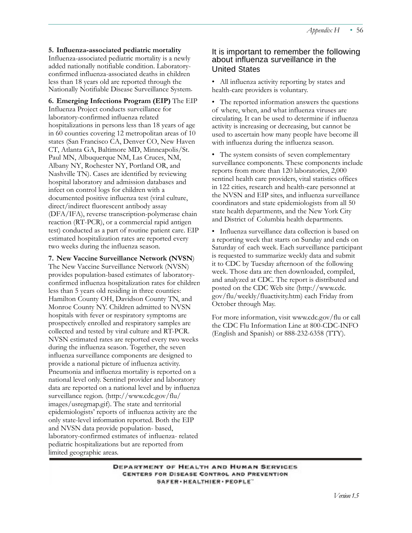#### **5. Influenza-associated pediatric mortality**

Influenza-associated pediatric mortality is a newly added nationally notifiable condition. Laboratoryconfirmed influenza-associated deaths in children less than 18 years old are reported through the Nationally Notifiable Disease Surveillance System.

#### **6. Emerging Infections Program (EIP)** The EIP

Influenza Project conducts surveillance for laboratory-confirmed influenza related hospitalizations in persons less than 18 years of age in 60 counties covering 12 metropolitan areas of 10 states (San Francisco CA, Denver CO, New Haven CT, Atlanta GA, Baltimore MD, Minneapolis/St. Paul MN, Albuquerque NM, Las Cruces, NM, Albany NY, Rochester NY, Portland OR, and Nashville TN). Cases are identified by reviewing hospital laboratory and admission databases and infect on control logs for children with a documented positive influenza test (viral culture, direct/indirect fluorescent antibody assay (DFA/IFA), reverse transcription-polymerase chain reaction (RT-PCR), or a commercial rapid antigen test) conducted as a part of routine patient care. EIP estimated hospitalization rates are reported every two weeks during the influenza season.

#### **7. New Vaccine Surveillance Network (NVSN**)

The New Vaccine Surveillance Network (NVSN) provides population-based estimates of laboratoryconfirmed influenza hospitalization rates for children less than 5 years old residing in three counties: Hamilton County OH, Davidson County TN, and Monroe County NY. Children admitted to NVSN hospitals with fever or respiratory symptoms are prospectively enrolled and respiratory samples are collected and tested by viral culture and RT-PCR. NVSN estimated rates are reported every two weeks during the influenza season. Together, the seven influenza surveillance components are designed to provide a national picture of influenza activity. Pneumonia and influenza mortality is reported on a national level only. Sentinel provider and laboratory data are reported on a national level and by influenza surveillance region. (http://www.cdc.gov/flu/ images/usregmap.gif). The state and territorial epidemiologists' reports of influenza activity are the only state-level information reported. Both the EIP and NVSN data provide population- based, laboratory-confirmed estimates of influenza- related pediatric hospitalizations but are reported from limited geographic areas.

#### It is important to remember the following about influenza surveillance in the United States

• All influenza activity reporting by states and health-care providers is voluntary.

• The reported information answers the questions of where, when, and what influenza viruses are circulating. It can be used to determine if influenza activity is increasing or decreasing, but cannot be used to ascertain how many people have become ill with influenza during the influenza season.

• The system consists of seven complementary surveillance components. These components include reports from more than 120 laboratories, 2,000 sentinel health care providers, vital statistics offices in 122 cities, research and health-care personnel at the NVSN and EIP sites, and influenza surveillance coordinators and state epidemiologists from all 50 state health departments, and the New York City and District of Columbia health departments.

• Influenza surveillance data collection is based on a reporting week that starts on Sunday and ends on Saturday of each week. Each surveillance participant is requested to summarize weekly data and submit it to CDC by Tuesday afternoon of the following week. Those data are then downloaded, compiled, and analyzed at CDC. The report is distributed and posted on the CDC Web site (http://www.cdc. gov/flu/weekly/fluactivity.htm) each Friday from October through May.

For more information, visit www.cdc.gov/flu or call the CDC Flu Information Line at 800-CDC-INFO (English and Spanish) or 888-232-6358 (TTY).

**DEPARTMENT OF HEALTH AND HUMAN SERVICES** CENTERS FOR DISEASE CONTROL AND PREVENTION SAFER · HEALTHIER · PEOPLE"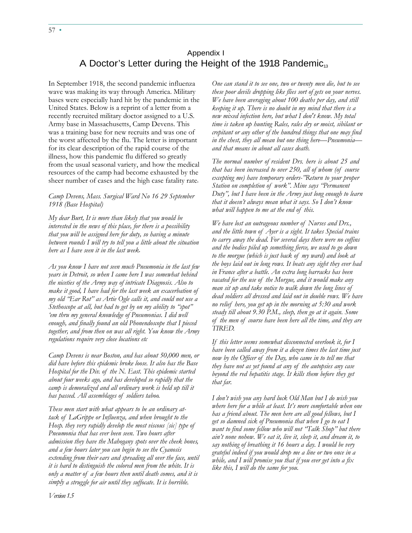#### Appendix I A Doctor's Letter during the Height of the 1918 Pandemic.

In September 1918, the second pandemic influenza wave was making its way through America. Military bases were especially hard hit by the pandemic in the United States. Below is a reprint of a letter from a recently recruited military doctor assigned to a U.S. Army base in Massachusetts, Camp Devens. This was a training base for new recruits and was one of the worst affected by the flu. The letter is important for its clear description of the rapid course of the illness, how this pandemic flu differed so greatly from the usual seasonal variety, and how the medical resources of the camp had become exhausted by the sheer number of cases and the high case fatality rate.

#### *Camp Devens, Mass. Surgical Ward No 16 29 September 1918 (Base Hospital)*

*My dear Burt, It is more than likely that you would be interested in the news of this place, for there is a possibility that you will be assigned here for duty, so having a minute between rounds I will try to tell you a little about the situation here as I have seen it in the last week.*

*As you know I have not seen much Pneumonia in the last few years in Detroit, so when I came here I was somewhat behind the niceties of the Army way of intricate Diagnosis. Also to make it good, I have had for the last week an exacerbation of my old "Ear Rot" as Artie Ogle calls it, and could not use a Stethoscope at all, but had to get by on my ability to "spot" 'em thru my general knowledge of Pneumonias. I did well enough, and finally found an old Phonendoscope that I pieced together, and from then on was all right. You know the Army regulations require very close locations etc* 

*Camp Devens is near Boston, and has about 50,000 men, or did have before this epidemic broke loose. It also has the Base Hospital for the Div. of the N. East. This epidemic started about four weeks ago, and has developed so rapidly that the camp is demoralized and all ordinary work is held up till it has passed. All assemblages of soldiers taboo.*

*These men start with what appears to be an ordinary attack of LaGrippe or Influenza, and when brought to the Hosp. they very rapidly develop the most viscous [sic] type of Pneumonia that has ever been seen. Two hours after admission they have the Mahogany spots over the cheek bones, and a few hours later you can begin to see the Cyanosis extending from their ears and spreading all over the face, until it is hard to distinguish the colored men from the white. It is only a matter of a few hours then until death comes, and it is simply a struggle for air until they suffocate. It is horrible.*

*One can stand it to see one, two or twenty men die, but to see these poor devils dropping like flies sort of gets on your nerves. We have been averaging about 100 deaths per day, and still keeping it up. There is no doubt in my mind that there is a new mixed infection here, but what I don't know. My total time is taken up hunting Rales, rales dry or moist, sibilant or crepitant or any other of the hundred things that one may find in the chest, they all mean but one thing here—Pneumonia and that means in about all cases death.* 

*The normal number of resident Drs. here is about 25 and that has been increased to over 250, all of whom (of course excepting me) have temporary orders-"Return to your proper Station on completion of work". Mine says "Permanent Duty", but I have been in the Army just long enough to learn that it doesn't always mean what it says. So I don't know what will happen to me at the end of this.*

*We have lost an outrageous number of Nurses and Drs., and the little town of Ayer is a sight. It takes Special trains to carry away the dead. For several days there were no coffins and the bodies piled up something fierce, we used to go down to the morgue (which is just back of my ward) and look at the boys laid out in long rows. It beats any sight they ever had in France after a battle. An extra long barracks has been vacated for the use of the Morgue, and it would make any man sit up and take notice to walk down the long lines of dead soldiers all dressed and laid out in double rows. We have no relief here, you get up in the morning at 5:30 and work steady till about 9.30 P.M., sleep, then go at it again. Some of the men of course have been here all the time, and they are TIRED.*

*If this letter seems somewhat disconnected overlook it, for I have been called away from it a dozen times the last time just now by the Officer of the Day, who came in to tell me that they have not as yet found at any of the autopsies any case beyond the red hepatitis stage. It kills them before they get that far.*

*I don't wish you any hard luck Old Man but I do wish you where here for a while at least. It's more comfortable when one has a friend about. The men here are all good fellows, but I get so damned sick of Pneumonia that when I go to eat I want to find some fellow who will not "Talk Shop" but there ain't none nohow. We eat it, live it, sleep it, and dream it, to say nothing of breathing it 16 hours a day. I would be very grateful indeed if you would drop me a line or two once in a while, and I will promise you that if you ever get into a fix like this, I will do the same for you.*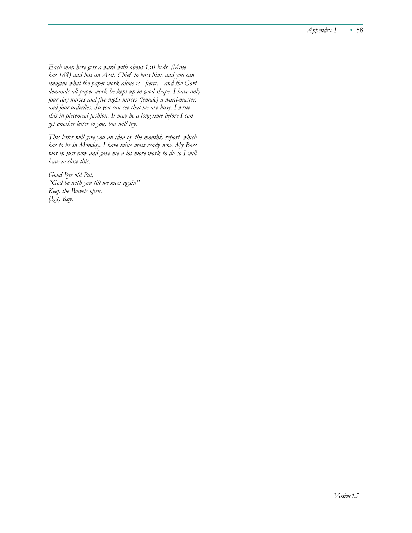*Each man here gets a ward with about 150 beds, (Mine has 168) and has an Asst. Chief to boss him, and you can imagine what the paper work alone is - fierce,-- and the Govt. demands all paper work be kept up in good shape. I have only four day nurses and five night nurses (female) a ward-master, and four orderlies. So you can see that we are busy. I write this in piecemeal fashion. It may be a long time before I can get another letter to you, but will try.*

*This letter will give you an idea of the monthly report, which has to be in Monday. I have mine most ready now. My Boss was in just now and gave me a lot more work to do so I will have to close this.*

*Good Bye old Pal, "God be with you till we meet again" Keep the Bowels open. (Sgt) Roy.*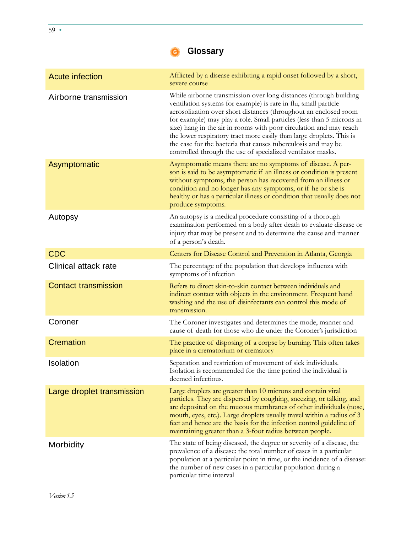#### **Glossary** ſĞ

| <b>Acute infection</b>      | Afflicted by a disease exhibiting a rapid onset followed by a short,<br>severe course                                                                                                                                                                                                                                                                                                                                                                                                                                                                           |
|-----------------------------|-----------------------------------------------------------------------------------------------------------------------------------------------------------------------------------------------------------------------------------------------------------------------------------------------------------------------------------------------------------------------------------------------------------------------------------------------------------------------------------------------------------------------------------------------------------------|
| Airborne transmission       | While airborne transmission over long distances (through building<br>ventilation systems for example) is rare in flu, small particle<br>aerosolization over short distances (throughout an enclosed room<br>for example) may play a role. Small particles (less than 5 microns in<br>size) hang in the air in rooms with poor circulation and may reach<br>the lower respiratory tract more easily than large droplets. This is<br>the case for the bacteria that causes tuberculosis and may be<br>controlled through the use of specialized ventilator masks. |
| Asymptomatic                | Asymptomatic means there are no symptoms of disease. A per-<br>son is said to be asymptomatic if an illness or condition is present<br>without symptoms, the person has recovered from an illness or<br>condition and no longer has any symptoms, or if he or she is<br>healthy or has a particular illness or condition that usually does not<br>produce symptoms.                                                                                                                                                                                             |
| Autopsy                     | An autopsy is a medical procedure consisting of a thorough<br>examination performed on a body after death to evaluate disease or<br>injury that may be present and to determine the cause and manner<br>of a person's death.                                                                                                                                                                                                                                                                                                                                    |
| <b>CDC</b>                  | Centers for Disease Control and Prevention in Atlanta, Georgia                                                                                                                                                                                                                                                                                                                                                                                                                                                                                                  |
| Clinical attack rate        | The percentage of the population that develops influenza with<br>symptoms of infection                                                                                                                                                                                                                                                                                                                                                                                                                                                                          |
| <b>Contact transmission</b> | Refers to direct skin-to-skin contact between individuals and<br>indirect contact with objects in the environment. Frequent hand<br>washing and the use of disinfectants can control this mode of<br>transmission.                                                                                                                                                                                                                                                                                                                                              |
| Coroner                     | The Coroner investigates and determines the mode, manner and<br>cause of death for those who die under the Coroner's jurisdiction                                                                                                                                                                                                                                                                                                                                                                                                                               |
| <b>Cremation</b>            | The practice of disposing of a corpse by burning. This often takes<br>place in a crematorium or crematory                                                                                                                                                                                                                                                                                                                                                                                                                                                       |
| Isolation                   | Separation and restriction of movement of sick individuals.<br>Isolation is recommended for the time period the individual is<br>deemed infectious.                                                                                                                                                                                                                                                                                                                                                                                                             |
| Large droplet transmission  | Large droplets are greater than 10 microns and contain viral<br>particles. They are dispersed by coughing, sneezing, or talking, and<br>are deposited on the mucous membranes of other individuals (nose,<br>mouth, eyes, etc.). Large droplets usually travel within a radius of 3<br>feet and hence are the basis for the infection control guideline of<br>maintaining greater than a 3-foot radius between people.                                                                                                                                          |
| <b>Morbidity</b>            | The state of being diseased, the degree or severity of a disease, the<br>prevalence of a disease: the total number of cases in a particular<br>population at a particular point in time, or the incidence of a disease:<br>the number of new cases in a particular population during a<br>particular time interval                                                                                                                                                                                                                                              |